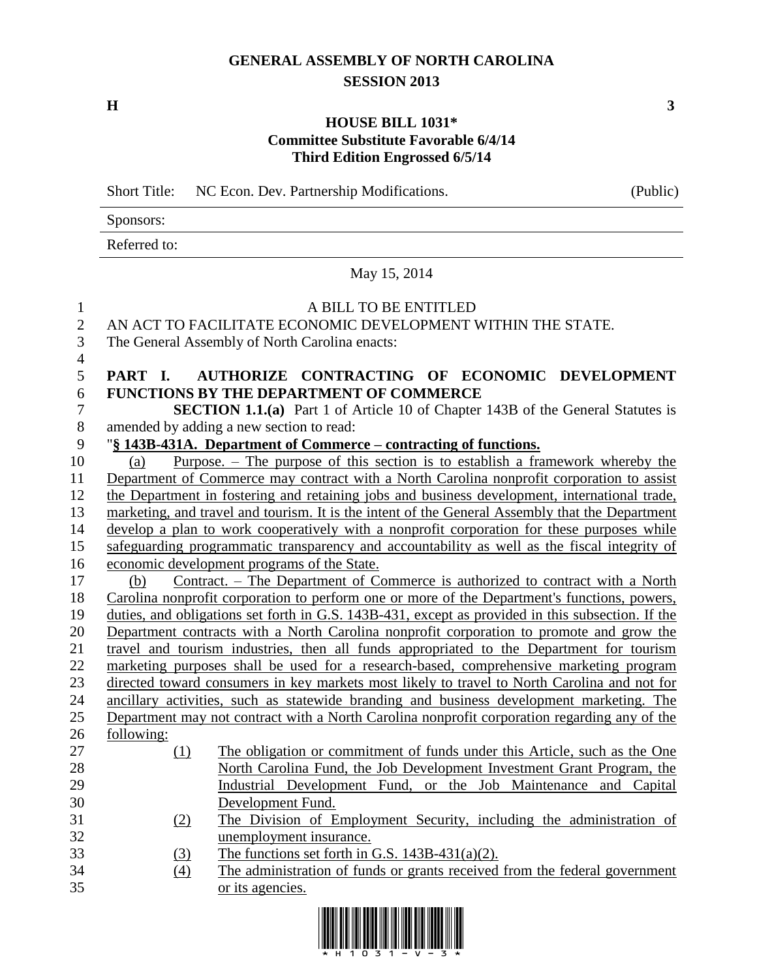# **GENERAL ASSEMBLY OF NORTH CAROLINA SESSION 2013**

**H 3**

### **HOUSE BILL 1031\* Committee Substitute Favorable 6/4/14 Third Edition Engrossed 6/5/14**

Short Title: NC Econ. Dev. Partnership Modifications. (Public)

Sponsors:

Referred to:

May 15, 2014

#### A BILL TO BE ENTITLED

# AN ACT TO FACILITATE ECONOMIC DEVELOPMENT WITHIN THE STATE.

The General Assembly of North Carolina enacts:

# **PART I. AUTHORIZE CONTRACTING OF ECONOMIC DEVELOPMENT FUNCTIONS BY THE DEPARTMENT OF COMMERCE**

 **SECTION 1.1.(a)** Part 1 of Article 10 of Chapter 143B of the General Statutes is amended by adding a new section to read:

# "**§ 143B-431A. Department of Commerce – contracting of functions.**

 (a) Purpose. – The purpose of this section is to establish a framework whereby the Department of Commerce may contract with a North Carolina nonprofit corporation to assist the Department in fostering and retaining jobs and business development, international trade, marketing, and travel and tourism. It is the intent of the General Assembly that the Department develop a plan to work cooperatively with a nonprofit corporation for these purposes while safeguarding programmatic transparency and accountability as well as the fiscal integrity of economic development programs of the State. (b) Contract. – The Department of Commerce is authorized to contract with a North Carolina nonprofit corporation to perform one or more of the Department's functions, powers, duties, and obligations set forth in G.S. 143B-431, except as provided in this subsection. If the Department contracts with a North Carolina nonprofit corporation to promote and grow the travel and tourism industries, then all funds appropriated to the Department for tourism marketing purposes shall be used for a research-based, comprehensive marketing program directed toward consumers in key markets most likely to travel to North Carolina and not for ancillary activities, such as statewide branding and business development marketing. The Department may not contract with a North Carolina nonprofit corporation regarding any of the following: (1) The obligation or commitment of funds under this Article, such as the One North Carolina Fund, the Job Development Investment Grant Program, the Industrial Development Fund, or the Job Maintenance and Capital Development Fund. (2) The Division of Employment Security, including the administration of unemployment insurance. (3) The functions set forth in G.S. 143B-431(a)(2).

 (4) The administration of funds or grants received from the federal government or its agencies.

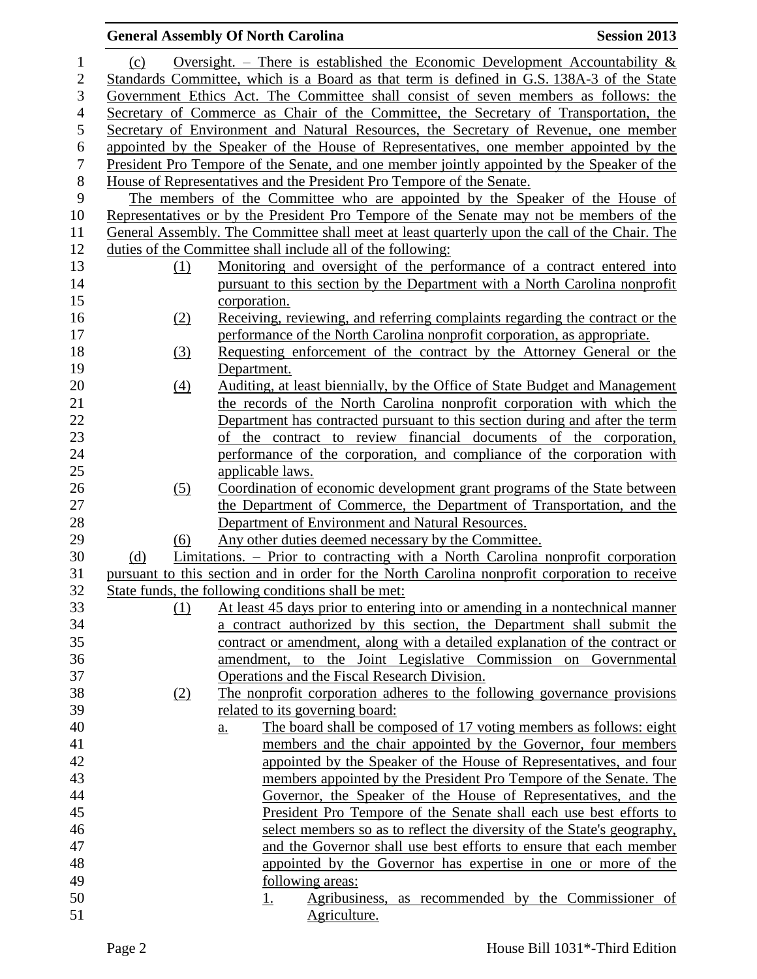# **General Assembly Of North Carolina Session 2013** 1 (c) Oversight. – There is established the Economic Development Accountability  $\&$  Standards Committee, which is a Board as that term is defined in G.S. 138A-3 of the State Government Ethics Act. The Committee shall consist of seven members as follows: the Secretary of Commerce as Chair of the Committee, the Secretary of Transportation, the Secretary of Environment and Natural Resources, the Secretary of Revenue, one member 6 appointed by the Speaker of the House of Representatives, one member appointed by the 7 President Pro Tempore of the Senate, and one member jointly appointed by the Speaker of the President Pro Tempore of the Senate, and one member jointly appointed by the Speaker of the House of Representatives and the President Pro Tempore of the Senate. The members of the Committee who are appointed by the Speaker of the House of Representatives or by the President Pro Tempore of the Senate may not be members of the General Assembly. The Committee shall meet at least quarterly upon the call of the Chair. The duties of the Committee shall include all of the following: (1) Monitoring and oversight of the performance of a contract entered into pursuant to this section by the Department with a North Carolina nonprofit corporation. (2) Receiving, reviewing, and referring complaints regarding the contract or the performance of the North Carolina nonprofit corporation, as appropriate. (3) Requesting enforcement of the contract by the Attorney General or the Department. (4) Auditing, at least biennially, by the Office of State Budget and Management the records of the North Carolina nonprofit corporation with which the Department has contracted pursuant to this section during and after the term of the contract to review financial documents of the corporation, performance of the corporation, and compliance of the corporation with applicable laws. (5) Coordination of economic development grant programs of the State between the Department of Commerce, the Department of Transportation, and the Department of Environment and Natural Resources. (6) Any other duties deemed necessary by the Committee. (d) Limitations. – Prior to contracting with a North Carolina nonprofit corporation pursuant to this section and in order for the North Carolina nonprofit corporation to receive State funds, the following conditions shall be met: (1) At least 45 days prior to entering into or amending in a nontechnical manner a contract authorized by this section, the Department shall submit the contract or amendment, along with a detailed explanation of the contract or amendment, to the Joint Legislative Commission on Governmental Operations and the Fiscal Research Division. (2) The nonprofit corporation adheres to the following governance provisions related to its governing board: a. The board shall be composed of 17 voting members as follows: eight members and the chair appointed by the Governor, four members appointed by the Speaker of the House of Representatives, and four members appointed by the President Pro Tempore of the Senate. The Governor, the Speaker of the House of Representatives, and the President Pro Tempore of the Senate shall each use best efforts to select members so as to reflect the diversity of the State's geography, and the Governor shall use best efforts to ensure that each member appointed by the Governor has expertise in one or more of the following areas: 1. Agribusiness, as recommended by the Commissioner of 51 Agriculture.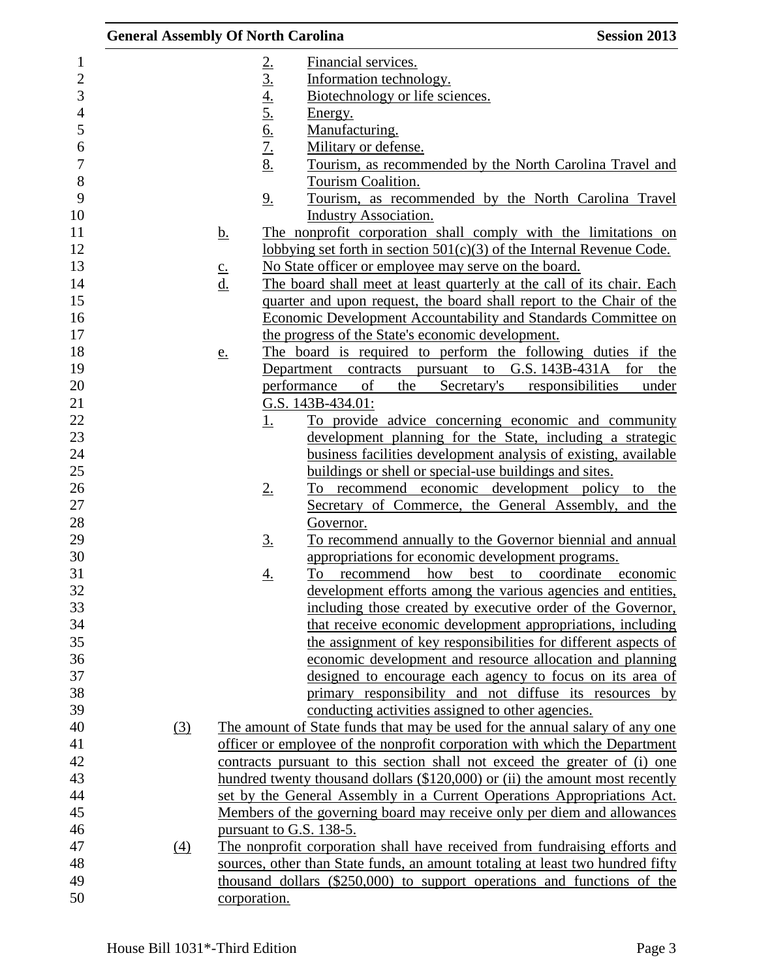|                                                                                                              | <b>General Assembly Of North Carolina</b> |                                                   |                                                                                                                                                                                                                                                      | <b>Session 2013</b>                                                                                                                                                                                                                                                                                                                     |
|--------------------------------------------------------------------------------------------------------------|-------------------------------------------|---------------------------------------------------|------------------------------------------------------------------------------------------------------------------------------------------------------------------------------------------------------------------------------------------------------|-----------------------------------------------------------------------------------------------------------------------------------------------------------------------------------------------------------------------------------------------------------------------------------------------------------------------------------------|
| 1<br>$\sqrt{2}$<br>3<br>$\overline{4}$<br>5<br>6<br>$\boldsymbol{7}$<br>8<br>9<br>10<br>11<br>12<br>13<br>14 |                                           | 2.3.4.5.6.7.8<br>9.<br><u>b.</u><br>$\frac{c}{d}$ | Financial services.<br>Information technology.<br>Biotechnology or life sciences.<br>Energy.<br>Manufacturing.<br>Military or defense.<br>Tourism Coalition.<br><b>Industry Association.</b><br>No State officer or employee may serve on the board. | Tourism, as recommended by the North Carolina Travel and<br>Tourism, as recommended by the North Carolina Travel<br>The nonprofit corporation shall comply with the limitations on<br>lobbying set forth in section $501(c)(3)$ of the Internal Revenue Code.<br>The board shall meet at least quarterly at the call of its chair. Each |
| 15                                                                                                           |                                           |                                                   |                                                                                                                                                                                                                                                      | quarter and upon request, the board shall report to the Chair of the                                                                                                                                                                                                                                                                    |
| 16                                                                                                           |                                           |                                                   |                                                                                                                                                                                                                                                      | Economic Development Accountability and Standards Committee on                                                                                                                                                                                                                                                                          |
| 17                                                                                                           |                                           |                                                   | the progress of the State's economic development.                                                                                                                                                                                                    |                                                                                                                                                                                                                                                                                                                                         |
| 18                                                                                                           |                                           | e.                                                |                                                                                                                                                                                                                                                      | The board is required to perform the following duties if the                                                                                                                                                                                                                                                                            |
| 19                                                                                                           |                                           |                                                   | Department contracts pursuant to G.S. 143B-431A for                                                                                                                                                                                                  | the                                                                                                                                                                                                                                                                                                                                     |
| 20                                                                                                           |                                           |                                                   | of<br>performance<br>the                                                                                                                                                                                                                             | Secretary's<br>responsibilities<br>under                                                                                                                                                                                                                                                                                                |
| 21<br>22                                                                                                     |                                           |                                                   | G.S. 143B-434.01:                                                                                                                                                                                                                                    |                                                                                                                                                                                                                                                                                                                                         |
| 23                                                                                                           |                                           | <u>1.</u>                                         |                                                                                                                                                                                                                                                      | To provide advice concerning economic and community<br>development planning for the State, including a strategic                                                                                                                                                                                                                        |
| 24                                                                                                           |                                           |                                                   |                                                                                                                                                                                                                                                      | business facilities development analysis of existing, available                                                                                                                                                                                                                                                                         |
| 25                                                                                                           |                                           |                                                   | buildings or shell or special-use buildings and sites.                                                                                                                                                                                               |                                                                                                                                                                                                                                                                                                                                         |
| 26                                                                                                           |                                           | 2.                                                |                                                                                                                                                                                                                                                      | <u>To recommend economic development policy to the</u>                                                                                                                                                                                                                                                                                  |
| 27                                                                                                           |                                           |                                                   |                                                                                                                                                                                                                                                      | Secretary of Commerce, the General Assembly, and the                                                                                                                                                                                                                                                                                    |
| 28                                                                                                           |                                           |                                                   | Governor.                                                                                                                                                                                                                                            |                                                                                                                                                                                                                                                                                                                                         |
| 29                                                                                                           |                                           | <u>3.</u>                                         |                                                                                                                                                                                                                                                      | To recommend annually to the Governor biennial and annual                                                                                                                                                                                                                                                                               |
| 30                                                                                                           |                                           |                                                   | appropriations for economic development programs.                                                                                                                                                                                                    |                                                                                                                                                                                                                                                                                                                                         |
| 31                                                                                                           |                                           | <u>4.</u>                                         | To<br>recommend how                                                                                                                                                                                                                                  | best to coordinate<br>economic                                                                                                                                                                                                                                                                                                          |
| 32                                                                                                           |                                           |                                                   |                                                                                                                                                                                                                                                      | development efforts among the various agencies and entities,                                                                                                                                                                                                                                                                            |
| 33                                                                                                           |                                           |                                                   |                                                                                                                                                                                                                                                      | including those created by executive order of the Governor,                                                                                                                                                                                                                                                                             |
| 34                                                                                                           |                                           |                                                   |                                                                                                                                                                                                                                                      | that receive economic development appropriations, including                                                                                                                                                                                                                                                                             |
| 35                                                                                                           |                                           |                                                   |                                                                                                                                                                                                                                                      | the assignment of key responsibilities for different aspects of                                                                                                                                                                                                                                                                         |
| 36<br>37                                                                                                     |                                           |                                                   |                                                                                                                                                                                                                                                      | economic development and resource allocation and planning<br>designed to encourage each agency to focus on its area of                                                                                                                                                                                                                  |
| 38                                                                                                           |                                           |                                                   |                                                                                                                                                                                                                                                      | primary responsibility and not diffuse its resources by                                                                                                                                                                                                                                                                                 |
| 39                                                                                                           |                                           |                                                   | conducting activities assigned to other agencies.                                                                                                                                                                                                    |                                                                                                                                                                                                                                                                                                                                         |
| 40                                                                                                           | (3)                                       |                                                   |                                                                                                                                                                                                                                                      | The amount of State funds that may be used for the annual salary of any one                                                                                                                                                                                                                                                             |
| 41                                                                                                           |                                           |                                                   |                                                                                                                                                                                                                                                      | officer or employee of the nonprofit corporation with which the Department                                                                                                                                                                                                                                                              |
| 42                                                                                                           |                                           |                                                   |                                                                                                                                                                                                                                                      | contracts pursuant to this section shall not exceed the greater of (i) one                                                                                                                                                                                                                                                              |
| 43                                                                                                           |                                           |                                                   |                                                                                                                                                                                                                                                      | hundred twenty thousand dollars (\$120,000) or (ii) the amount most recently                                                                                                                                                                                                                                                            |
| 44                                                                                                           |                                           |                                                   |                                                                                                                                                                                                                                                      | set by the General Assembly in a Current Operations Appropriations Act.                                                                                                                                                                                                                                                                 |
| 45                                                                                                           |                                           |                                                   |                                                                                                                                                                                                                                                      | Members of the governing board may receive only per diem and allowances                                                                                                                                                                                                                                                                 |
| 46                                                                                                           |                                           | pursuant to G.S. 138-5.                           |                                                                                                                                                                                                                                                      |                                                                                                                                                                                                                                                                                                                                         |
| 47                                                                                                           | (4)                                       |                                                   |                                                                                                                                                                                                                                                      | The nonprofit corporation shall have received from fundraising efforts and                                                                                                                                                                                                                                                              |
| 48                                                                                                           |                                           |                                                   |                                                                                                                                                                                                                                                      | sources, other than State funds, an amount totaling at least two hundred fifty                                                                                                                                                                                                                                                          |
| 49                                                                                                           |                                           |                                                   |                                                                                                                                                                                                                                                      | thousand dollars (\$250,000) to support operations and functions of the                                                                                                                                                                                                                                                                 |
| 50                                                                                                           |                                           | corporation.                                      |                                                                                                                                                                                                                                                      |                                                                                                                                                                                                                                                                                                                                         |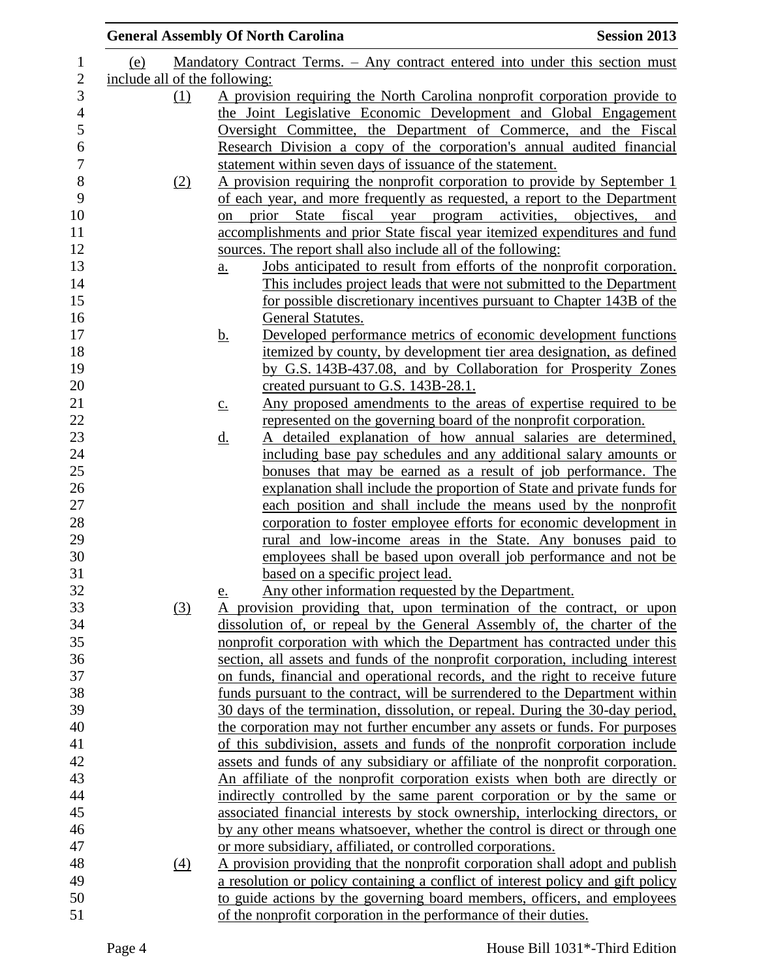|                               |                  | <b>General Assembly Of North Carolina</b>                                                  | <b>Session 2013</b> |
|-------------------------------|------------------|--------------------------------------------------------------------------------------------|---------------------|
| (e)                           |                  | Mandatory Contract Terms. - Any contract entered into under this section must              |                     |
| include all of the following: |                  |                                                                                            |                     |
|                               | (1)              | A provision requiring the North Carolina nonprofit corporation provide to                  |                     |
|                               |                  | the Joint Legislative Economic Development and Global Engagement                           |                     |
|                               |                  | Oversight Committee, the Department of Commerce, and the Fiscal                            |                     |
|                               |                  | Research Division a copy of the corporation's annual audited financial                     |                     |
|                               |                  | statement within seven days of issuance of the statement.                                  |                     |
|                               | (2)              | A provision requiring the nonprofit corporation to provide by September 1                  |                     |
|                               |                  | of each year, and more frequently as requested, a report to the Department                 |                     |
|                               |                  | prior State fiscal year program activities, objectives, and<br><sub>on</sub>               |                     |
|                               |                  | accomplishments and prior State fiscal year itemized expenditures and fund                 |                     |
|                               |                  | sources. The report shall also include all of the following:                               |                     |
|                               |                  | Jobs anticipated to result from efforts of the nonprofit corporation.<br>$\underline{a}$ . |                     |
|                               |                  | This includes project leads that were not submitted to the Department                      |                     |
|                               |                  | for possible discretionary incentives pursuant to Chapter 143B of the                      |                     |
|                               |                  | General Statutes.                                                                          |                     |
|                               |                  | Developed performance metrics of economic development functions<br><u>b.</u>               |                     |
|                               |                  | itemized by county, by development tier area designation, as defined                       |                     |
|                               |                  | by G.S. 143B-437.08, and by Collaboration for Prosperity Zones                             |                     |
|                               |                  | created pursuant to G.S. 143B-28.1.                                                        |                     |
|                               |                  | Any proposed amendments to the areas of expertise required to be<br>$\underline{c}$ .      |                     |
|                               |                  | represented on the governing board of the nonprofit corporation.                           |                     |
|                               |                  | A detailed explanation of how annual salaries are determined,<br><u>d.</u>                 |                     |
|                               |                  | including base pay schedules and any additional salary amounts or                          |                     |
|                               |                  | bonuses that may be earned as a result of job performance. The                             |                     |
|                               |                  | explanation shall include the proportion of State and private funds for                    |                     |
|                               |                  | each position and shall include the means used by the nonprofit                            |                     |
|                               |                  | corporation to foster employee efforts for economic development in                         |                     |
|                               |                  | rural and low-income areas in the State. Any bonuses paid to                               |                     |
|                               |                  | employees shall be based upon overall job performance and not be                           |                     |
|                               |                  | based on a specific project lead.                                                          |                     |
|                               |                  | Any other information requested by the Department.<br><u>e.</u>                            |                     |
|                               | (3)              | A provision providing that, upon termination of the contract, or upon                      |                     |
|                               |                  | dissolution of, or repeal by the General Assembly of, the charter of the                   |                     |
|                               |                  | nonprofit corporation with which the Department has contracted under this                  |                     |
|                               |                  | section, all assets and funds of the nonprofit corporation, including interest             |                     |
|                               |                  | on funds, financial and operational records, and the right to receive future               |                     |
|                               |                  | funds pursuant to the contract, will be surrendered to the Department within               |                     |
|                               |                  | 30 days of the termination, dissolution, or repeal. During the 30-day period,              |                     |
|                               |                  | the corporation may not further encumber any assets or funds. For purposes                 |                     |
|                               |                  | of this subdivision, assets and funds of the nonprofit corporation include                 |                     |
|                               |                  | assets and funds of any subsidiary or affiliate of the nonprofit corporation.              |                     |
|                               |                  | An affiliate of the nonprofit corporation exists when both are directly or                 |                     |
|                               |                  | indirectly controlled by the same parent corporation or by the same or                     |                     |
|                               |                  | associated financial interests by stock ownership, interlocking directors, or              |                     |
|                               |                  | by any other means whatsoever, whether the control is direct or through one                |                     |
|                               |                  | or more subsidiary, affiliated, or controlled corporations.                                |                     |
|                               | $\left(4\right)$ | A provision providing that the nonprofit corporation shall adopt and publish               |                     |
|                               |                  | a resolution or policy containing a conflict of interest policy and gift policy            |                     |
|                               |                  | to guide actions by the governing board members, officers, and employees                   |                     |
|                               |                  | of the nonprofit corporation in the performance of their duties.                           |                     |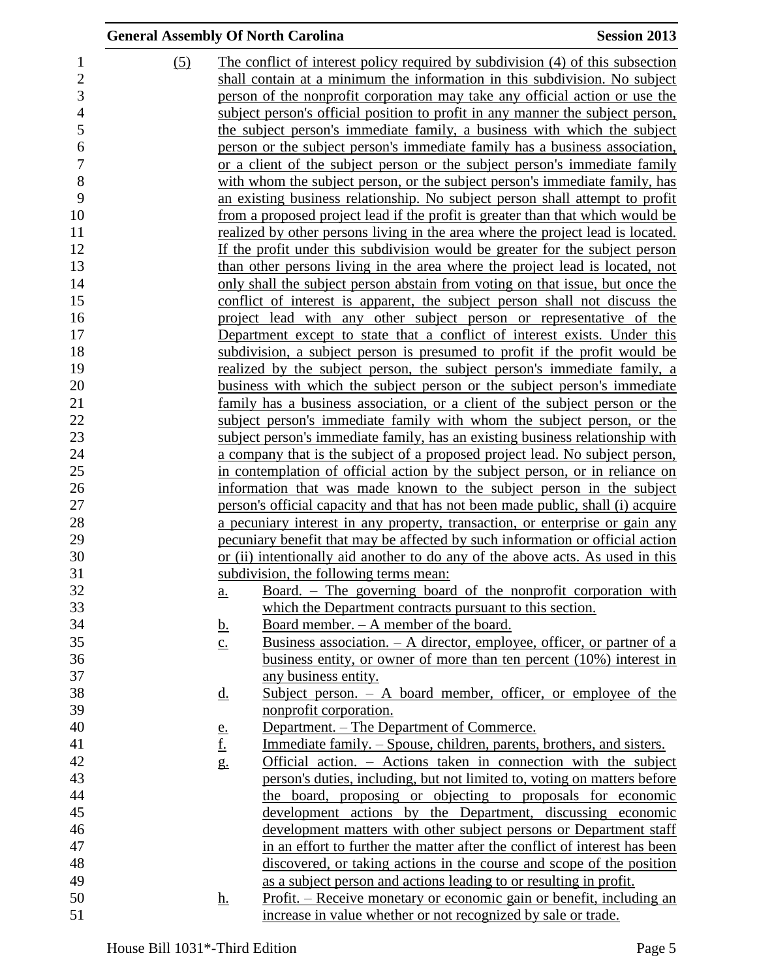|                | <b>General Assembly Of North Carolina</b> |                   |                                                                                 | <b>Session 2013</b> |
|----------------|-------------------------------------------|-------------------|---------------------------------------------------------------------------------|---------------------|
| $\mathbf{1}$   | (5)                                       |                   | The conflict of interest policy required by subdivision (4) of this subsection  |                     |
| $\overline{2}$ |                                           |                   | shall contain at a minimum the information in this subdivision. No subject      |                     |
| 3              |                                           |                   | person of the nonprofit corporation may take any official action or use the     |                     |
| $\overline{4}$ |                                           |                   | subject person's official position to profit in any manner the subject person,  |                     |
| 5              |                                           |                   | the subject person's immediate family, a business with which the subject        |                     |
| 6              |                                           |                   | person or the subject person's immediate family has a business association,     |                     |
| $\overline{7}$ |                                           |                   | or a client of the subject person or the subject person's immediate family      |                     |
| $8\,$          |                                           |                   | with whom the subject person, or the subject person's immediate family, has     |                     |
| 9              |                                           |                   | an existing business relationship. No subject person shall attempt to profit    |                     |
| 10             |                                           |                   | from a proposed project lead if the profit is greater than that which would be  |                     |
| 11             |                                           |                   | realized by other persons living in the area where the project lead is located. |                     |
| 12             |                                           |                   | If the profit under this subdivision would be greater for the subject person    |                     |
| 13             |                                           |                   | than other persons living in the area where the project lead is located, not    |                     |
| 14             |                                           |                   | only shall the subject person abstain from voting on that issue, but once the   |                     |
| 15             |                                           |                   | conflict of interest is apparent, the subject person shall not discuss the      |                     |
| 16             |                                           |                   | project lead with any other subject person or representative of the             |                     |
| 17             |                                           |                   | Department except to state that a conflict of interest exists. Under this       |                     |
| 18             |                                           |                   | subdivision, a subject person is presumed to profit if the profit would be      |                     |
| 19             |                                           |                   | <u>realized by the subject person, the subject person's immediate family, a</u> |                     |
| 20             |                                           |                   | business with which the subject person or the subject person's immediate        |                     |
| 21             |                                           |                   | family has a business association, or a client of the subject person or the     |                     |
| 22             |                                           |                   | subject person's immediate family with whom the subject person, or the          |                     |
| 23             |                                           |                   | subject person's immediate family, has an existing business relationship with   |                     |
| 24             |                                           |                   | a company that is the subject of a proposed project lead. No subject person,    |                     |
| 25             |                                           |                   | in contemplation of official action by the subject person, or in reliance on    |                     |
| 26             |                                           |                   | information that was made known to the subject person in the subject            |                     |
| 27             |                                           |                   | person's official capacity and that has not been made public, shall (i) acquire |                     |
| 28             |                                           |                   | a pecuniary interest in any property, transaction, or enterprise or gain any    |                     |
| 29             |                                           |                   | pecuniary benefit that may be affected by such information or official action   |                     |
| 30             |                                           |                   | or (ii) intentionally aid another to do any of the above acts. As used in this  |                     |
| 31             |                                           |                   | subdivision, the following terms mean:                                          |                     |
| 32             |                                           | a.                | <u>Board. – The governing board of the nonprofit corporation with</u>           |                     |
| 33             |                                           |                   | which the Department contracts pursuant to this section.                        |                     |
| 34             |                                           | <u>b.</u>         | <u>Board member. – A member of the board.</u>                                   |                     |
| 35             |                                           | $\underline{c}$ . | Business association. $- A$ director, employee, officer, or partner of a        |                     |
| 36             |                                           |                   | business entity, or owner of more than ten percent $(10%)$ interest in          |                     |
| 37             |                                           |                   | any business entity.                                                            |                     |
| 38             |                                           | <u>d.</u>         | Subject person. $-$ A board member, officer, or employee of the                 |                     |
| 39             |                                           |                   | nonprofit corporation.                                                          |                     |
| 40             |                                           | <u>e.</u>         | Department. – The Department of Commerce.                                       |                     |
| 41             |                                           | <u>f.</u>         | Immediate family. – Spouse, children, parents, brothers, and sisters.           |                     |
| 42             |                                           | g.                | Official action. – Actions taken in connection with the subject                 |                     |
| 43             |                                           |                   | person's duties, including, but not limited to, voting on matters before        |                     |
| 44             |                                           |                   | the board, proposing or objecting to proposals for economic                     |                     |
| 45             |                                           |                   | development actions by the Department, discussing economic                      |                     |
| 46             |                                           |                   | development matters with other subject persons or Department staff              |                     |
| 47             |                                           |                   | in an effort to further the matter after the conflict of interest has been      |                     |
| 48             |                                           |                   | discovered, or taking actions in the course and scope of the position           |                     |
| 49             |                                           |                   | as a subject person and actions leading to or resulting in profit.              |                     |
| 50             |                                           | <u>h.</u>         | Profit. – Receive monetary or economic gain or benefit, including an            |                     |
| 51             |                                           |                   | increase in value whether or not recognized by sale or trade.                   |                     |
|                |                                           |                   |                                                                                 |                     |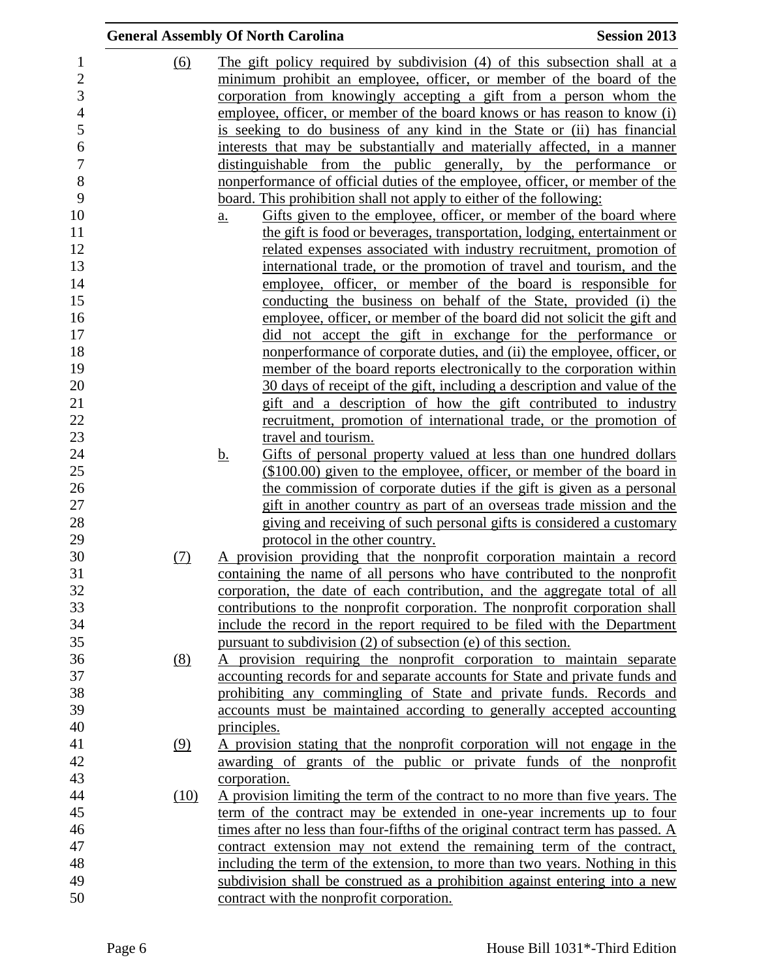|      | <b>General Assembly Of North Carolina</b>                                        | <b>Session 2013</b> |
|------|----------------------------------------------------------------------------------|---------------------|
| (6)  | The gift policy required by subdivision (4) of this subsection shall at a        |                     |
|      | minimum prohibit an employee, officer, or member of the board of the             |                     |
|      | corporation from knowingly accepting a gift from a person whom the               |                     |
|      | employee, officer, or member of the board knows or has reason to know (i)        |                     |
|      | is seeking to do business of any kind in the State or (ii) has financial         |                     |
|      | interests that may be substantially and materially affected, in a manner         |                     |
|      | distinguishable from the public generally, by the performance or                 |                     |
|      | nonperformance of official duties of the employee, officer, or member of the     |                     |
|      | board. This prohibition shall not apply to either of the following:              |                     |
|      | Gifts given to the employee, officer, or member of the board where<br>a.         |                     |
|      | the gift is food or beverages, transportation, lodging, entertainment or         |                     |
|      | related expenses associated with industry recruitment, promotion of              |                     |
|      | international trade, or the promotion of travel and tourism, and the             |                     |
|      | employee, officer, or member of the board is responsible for                     |                     |
|      | conducting the business on behalf of the State, provided (i) the                 |                     |
|      | employee, officer, or member of the board did not solicit the gift and           |                     |
|      | did not accept the gift in exchange for the performance or                       |                     |
|      | nonperformance of corporate duties, and (ii) the employee, officer, or           |                     |
|      | member of the board reports electronically to the corporation within             |                     |
|      | 30 days of receipt of the gift, including a description and value of the         |                     |
|      | gift and a description of how the gift contributed to industry                   |                     |
|      | recruitment, promotion of international trade, or the promotion of               |                     |
|      | travel and tourism.                                                              |                     |
|      |                                                                                  |                     |
|      | Gifts of personal property valued at less than one hundred dollars<br><u>b.</u>  |                     |
|      | (\$100.00) given to the employee, officer, or member of the board in             |                     |
|      | the commission of corporate duties if the gift is given as a personal            |                     |
|      | gift in another country as part of an overseas trade mission and the             |                     |
|      | giving and receiving of such personal gifts is considered a customary            |                     |
|      | protocol in the other country.                                                   |                     |
| (7)  | A provision providing that the nonprofit corporation maintain a record           |                     |
|      | containing the name of all persons who have contributed to the nonprofit         |                     |
|      | corporation, the date of each contribution, and the aggregate total of all       |                     |
|      | contributions to the nonprofit corporation. The nonprofit corporation shall      |                     |
|      | include the record in the report required to be filed with the Department        |                     |
|      | pursuant to subdivision (2) of subsection (e) of this section.                   |                     |
| (8)  | A provision requiring the nonprofit corporation to maintain separate             |                     |
|      | accounting records for and separate accounts for State and private funds and     |                     |
|      | prohibiting any commingling of State and private funds. Records and              |                     |
|      | accounts must be maintained according to generally accepted accounting           |                     |
|      | principles.                                                                      |                     |
| (9)  | A provision stating that the nonprofit corporation will not engage in the        |                     |
|      | awarding of grants of the public or private funds of the nonprofit               |                     |
|      | corporation.                                                                     |                     |
| (10) | A provision limiting the term of the contract to no more than five years. The    |                     |
|      | term of the contract may be extended in one-year increments up to four           |                     |
|      | times after no less than four-fifths of the original contract term has passed. A |                     |
|      | contract extension may not extend the remaining term of the contract,            |                     |
|      | including the term of the extension, to more than two years. Nothing in this     |                     |
|      | subdivision shall be construed as a prohibition against entering into a new      |                     |
|      | contract with the nonprofit corporation.                                         |                     |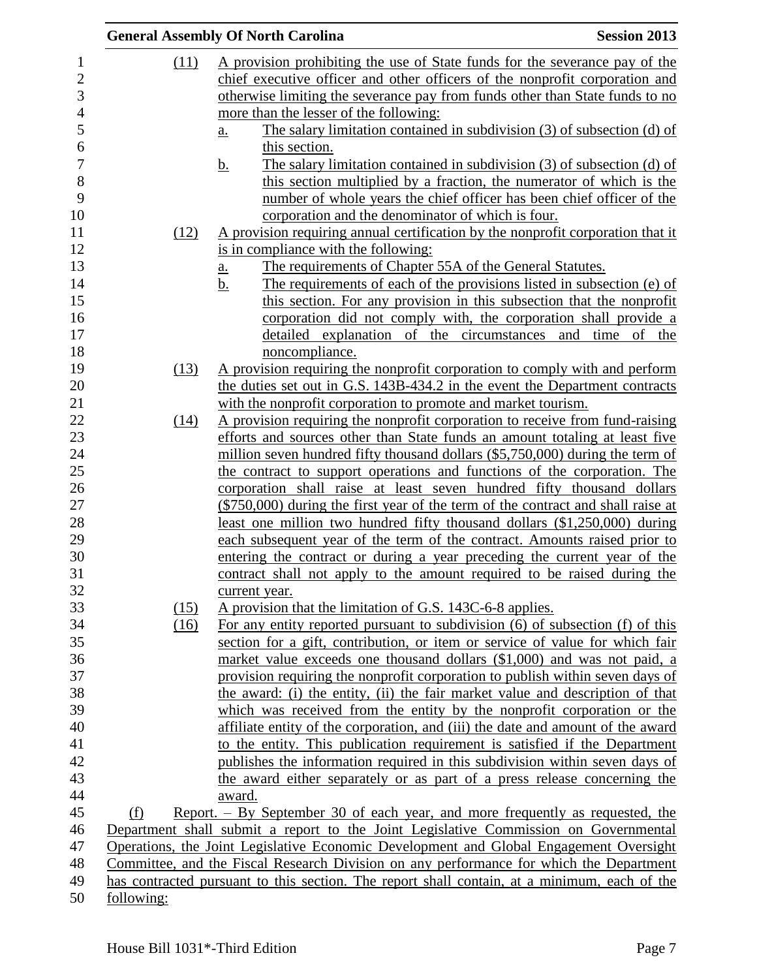|                          |              | <b>General Assembly Of North Carolina</b>                                                                                                                             | <b>Session 2013</b> |
|--------------------------|--------------|-----------------------------------------------------------------------------------------------------------------------------------------------------------------------|---------------------|
| $\mathbf{1}$             | (11)         | A provision prohibiting the use of State funds for the severance pay of the                                                                                           |                     |
| $\overline{c}$           |              | chief executive officer and other officers of the nonprofit corporation and                                                                                           |                     |
| 3                        |              | otherwise limiting the severance pay from funds other than State funds to no                                                                                          |                     |
| $\overline{\mathcal{L}}$ |              | more than the lesser of the following:                                                                                                                                |                     |
|                          |              | The salary limitation contained in subdivision $(3)$ of subsection $(d)$ of                                                                                           |                     |
|                          |              | <u>a.</u><br>this section.                                                                                                                                            |                     |
|                          |              | The salary limitation contained in subdivision (3) of subsection (d) of                                                                                               |                     |
|                          |              | <u>b.</u><br>this section multiplied by a fraction, the numerator of which is the                                                                                     |                     |
|                          |              | number of whole years the chief officer has been chief officer of the                                                                                                 |                     |
|                          |              | corporation and the denominator of which is four.                                                                                                                     |                     |
|                          | (12)         | A provision requiring annual certification by the nonprofit corporation that it                                                                                       |                     |
|                          |              | is in compliance with the following:                                                                                                                                  |                     |
|                          |              |                                                                                                                                                                       |                     |
|                          |              | The requirements of Chapter 55A of the General Statutes.<br>a.                                                                                                        |                     |
|                          |              | The requirements of each of the provisions listed in subsection (e) of<br><u>b.</u>                                                                                   |                     |
|                          |              | this section. For any provision in this subsection that the nonprofit                                                                                                 |                     |
|                          |              | corporation did not comply with, the corporation shall provide a                                                                                                      |                     |
|                          |              | detailed explanation of the circumstances and time of the                                                                                                             |                     |
|                          |              | noncompliance.                                                                                                                                                        |                     |
|                          | (13)         | A provision requiring the nonprofit corporation to comply with and perform                                                                                            |                     |
|                          |              | the duties set out in G.S. 143B-434.2 in the event the Department contracts                                                                                           |                     |
|                          |              | with the nonprofit corporation to promote and market tourism.                                                                                                         |                     |
|                          | (14)         | A provision requiring the nonprofit corporation to receive from fund-raising                                                                                          |                     |
|                          |              | efforts and sources other than State funds an amount totaling at least five                                                                                           |                     |
|                          |              | million seven hundred fifty thousand dollars (\$5,750,000) during the term of                                                                                         |                     |
|                          |              | the contract to support operations and functions of the corporation. The                                                                                              |                     |
|                          |              | corporation shall raise at least seven hundred fifty thousand dollars                                                                                                 |                     |
|                          |              | $(\$750,000)$ during the first year of the term of the contract and shall raise at                                                                                    |                     |
|                          |              | least one million two hundred fifty thousand dollars (\$1,250,000) during                                                                                             |                     |
|                          |              | each subsequent year of the term of the contract. Amounts raised prior to<br>entering the contract or during a year preceding the current year of the                 |                     |
|                          |              | contract shall not apply to the amount required to be raised during the                                                                                               |                     |
|                          |              |                                                                                                                                                                       |                     |
|                          |              | current year.                                                                                                                                                         |                     |
|                          | (15)<br>(16) | A provision that the limitation of G.S. 143C-6-8 applies.<br>For any entity reported pursuant to subdivision (6) of subsection (f) of this                            |                     |
|                          |              | section for a gift, contribution, or item or service of value for which fair                                                                                          |                     |
|                          |              | market value exceeds one thousand dollars (\$1,000) and was not paid, a                                                                                               |                     |
|                          |              | provision requiring the nonprofit corporation to publish within seven days of                                                                                         |                     |
|                          |              | the award: (i) the entity, (ii) the fair market value and description of that                                                                                         |                     |
|                          |              | which was received from the entity by the nonprofit corporation or the                                                                                                |                     |
|                          |              | affiliate entity of the corporation, and (iii) the date and amount of the award                                                                                       |                     |
|                          |              | to the entity. This publication requirement is satisfied if the Department                                                                                            |                     |
|                          |              | publishes the information required in this subdivision within seven days of                                                                                           |                     |
|                          |              |                                                                                                                                                                       |                     |
|                          |              | the award either separately or as part of a press release concerning the<br>award.                                                                                    |                     |
|                          | (f)          |                                                                                                                                                                       |                     |
|                          |              | Report. – By September 30 of each year, and more frequently as requested, the<br>Department shall submit a report to the Joint Legislative Commission on Governmental |                     |
|                          |              | Operations, the Joint Legislative Economic Development and Global Engagement Oversight                                                                                |                     |
|                          |              | Committee, and the Fiscal Research Division on any performance for which the Department                                                                               |                     |
|                          |              | has contracted pursuant to this section. The report shall contain, at a minimum, each of the                                                                          |                     |
|                          | following:   |                                                                                                                                                                       |                     |
|                          |              |                                                                                                                                                                       |                     |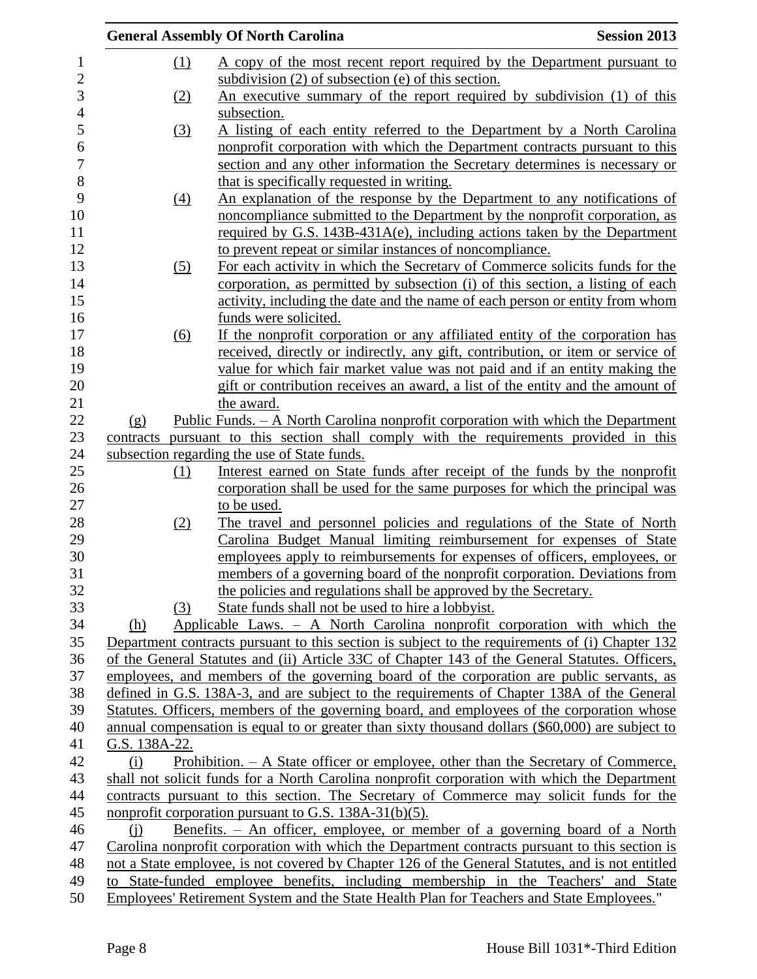|     |                   | <b>General Assembly Of North Carolina</b>                                                        | <b>Session 2013</b> |
|-----|-------------------|--------------------------------------------------------------------------------------------------|---------------------|
|     | (1)               | A copy of the most recent report required by the Department pursuant to                          |                     |
|     |                   | subdivision $(2)$ of subsection $(e)$ of this section.                                           |                     |
|     | (2)               | An executive summary of the report required by subdivision (1) of this                           |                     |
|     |                   | subsection.                                                                                      |                     |
|     | (3)               | A listing of each entity referred to the Department by a North Carolina                          |                     |
|     |                   | nonprofit corporation with which the Department contracts pursuant to this                       |                     |
|     |                   | section and any other information the Secretary determines is necessary or                       |                     |
|     |                   | that is specifically requested in writing.                                                       |                     |
|     | $\underline{(4)}$ | An explanation of the response by the Department to any notifications of                         |                     |
|     |                   | noncompliance submitted to the Department by the nonprofit corporation, as                       |                     |
|     |                   | required by G.S. $143B-431A(e)$ , including actions taken by the Department                      |                     |
|     |                   | to prevent repeat or similar instances of noncompliance.                                         |                     |
|     | (5)               | For each activity in which the Secretary of Commerce solicits funds for the                      |                     |
|     |                   | corporation, as permitted by subsection (i) of this section, a listing of each                   |                     |
|     |                   | activity, including the date and the name of each person or entity from whom                     |                     |
|     |                   | funds were solicited.                                                                            |                     |
|     | (6)               | If the nonprofit corporation or any affiliated entity of the corporation has                     |                     |
|     |                   | received, directly or indirectly, any gift, contribution, or item or service of                  |                     |
|     |                   | value for which fair market value was not paid and if an entity making the                       |                     |
|     |                   | gift or contribution receives an award, a list of the entity and the amount of                   |                     |
|     |                   | the award.                                                                                       |                     |
| (g) |                   | <u> Public Funds. – A North Carolina nonprofit corporation with which the Department</u>         |                     |
|     |                   | contracts pursuant to this section shall comply with the requirements provided in this           |                     |
|     |                   | subsection regarding the use of State funds.                                                     |                     |
|     | (1)               | Interest earned on State funds after receipt of the funds by the nonprofit                       |                     |
|     |                   | corporation shall be used for the same purposes for which the principal was                      |                     |
|     |                   | to be used.                                                                                      |                     |
|     | (2)               | The travel and personnel policies and regulations of the State of North                          |                     |
|     |                   | Carolina Budget Manual limiting reimbursement for expenses of State                              |                     |
|     |                   | employees apply to reimbursements for expenses of officers, employees, or                        |                     |
|     |                   | members of a governing board of the nonprofit corporation. Deviations from                       |                     |
|     |                   | the policies and regulations shall be approved by the Secretary.                                 |                     |
|     | (3)               | State funds shall not be used to hire a lobbyist.                                                |                     |
| (h) |                   | Applicable Laws. - A North Carolina nonprofit corporation with which the                         |                     |
|     |                   | Department contracts pursuant to this section is subject to the requirements of (i) Chapter 132  |                     |
|     |                   | of the General Statutes and (ii) Article 33C of Chapter 143 of the General Statutes. Officers,   |                     |
|     |                   | employees, and members of the governing board of the corporation are public servants, as         |                     |
|     |                   | defined in G.S. 138A-3, and are subject to the requirements of Chapter 138A of the General       |                     |
|     |                   | Statutes. Officers, members of the governing board, and employees of the corporation whose       |                     |
|     |                   | annual compensation is equal to or greater than sixty thousand dollars (\$60,000) are subject to |                     |
|     | G.S. 138A-22.     |                                                                                                  |                     |
| (i) |                   | Prohibition. – A State officer or employee, other than the Secretary of Commerce,                |                     |
|     |                   | shall not solicit funds for a North Carolina nonprofit corporation with which the Department     |                     |
|     |                   | contracts pursuant to this section. The Secretary of Commerce may solicit funds for the          |                     |
|     |                   | nonprofit corporation pursuant to G.S. $138A-31(b)(5)$ .                                         |                     |
| (i) |                   | Benefits. - An officer, employee, or member of a governing board of a North                      |                     |
|     |                   | Carolina nonprofit corporation with which the Department contracts pursuant to this section is   |                     |
|     |                   | not a State employee, is not covered by Chapter 126 of the General Statutes, and is not entitled |                     |
|     |                   | to State-funded employee benefits, including membership in the Teachers' and State               |                     |
|     |                   | Employees' Retirement System and the State Health Plan for Teachers and State Employees."        |                     |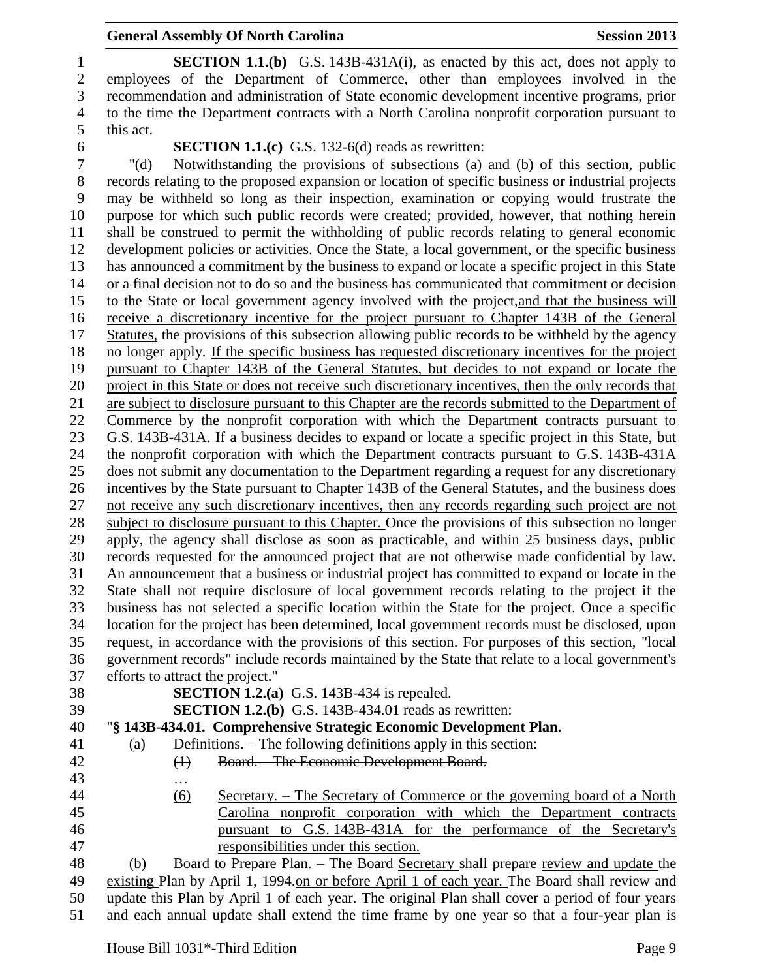#### **General Assembly Of North Carolina Session 2013**

 **SECTION 1.1.(b)** G.S. 143B-431A(i), as enacted by this act, does not apply to employees of the Department of Commerce, other than employees involved in the recommendation and administration of State economic development incentive programs, prior to the time the Department contracts with a North Carolina nonprofit corporation pursuant to this act. **SECTION 1.1.(c)** G.S. 132-6(d) reads as rewritten:<br>
7 "(d) Notwithstanding the provisions of subsections (a) "(d) Notwithstanding the provisions of subsections (a) and (b) of this section, public records relating to the proposed expansion or location of specific business or industrial projects may be withheld so long as their inspection, examination or copying would frustrate the purpose for which such public records were created; provided, however, that nothing herein shall be construed to permit the withholding of public records relating to general economic development policies or activities. Once the State, a local government, or the specific business has announced a commitment by the business to expand or locate a specific project in this State or a final decision not to do so and the business has communicated that commitment or decision to the State or local government agency involved with the project,and that the business will receive a discretionary incentive for the project pursuant to Chapter 143B of the General Statutes, the provisions of this subsection allowing public records to be withheld by the agency no longer apply. If the specific business has requested discretionary incentives for the project pursuant to Chapter 143B of the General Statutes, but decides to not expand or locate the project in this State or does not receive such discretionary incentives, then the only records that are subject to disclosure pursuant to this Chapter are the records submitted to the Department of Commerce by the nonprofit corporation with which the Department contracts pursuant to G.S. 143B-431A. If a business decides to expand or locate a specific project in this State, but the nonprofit corporation with which the Department contracts pursuant to G.S. 143B-431A does not submit any documentation to the Department regarding a request for any discretionary incentives by the State pursuant to Chapter 143B of the General Statutes, and the business does not receive any such discretionary incentives, then any records regarding such project are not 28 subject to disclosure pursuant to this Chapter. Once the provisions of this subsection no longer apply, the agency shall disclose as soon as practicable, and within 25 business days, public records requested for the announced project that are not otherwise made confidential by law. An announcement that a business or industrial project has committed to expand or locate in the State shall not require disclosure of local government records relating to the project if the business has not selected a specific location within the State for the project. Once a specific location for the project has been determined, local government records must be disclosed, upon request, in accordance with the provisions of this section. For purposes of this section, "local government records" include records maintained by the State that relate to a local government's efforts to attract the project." **SECTION 1.2.(a)** G.S. 143B-434 is repealed. **SECTION 1.2.(b)** G.S. 143B-434.01 reads as rewritten: "**§ 143B-434.01. Comprehensive Strategic Economic Development Plan.** (a) Definitions. – The following definitions apply in this section: (1) Board. – The Economic Development Board. … (6) Secretary. – The Secretary of Commerce or the governing board of a North Carolina nonprofit corporation with which the Department contracts pursuant to G.S. 143B-431A for the performance of the Secretary's responsibilities under this section. 48 (b) Board to Prepare-Plan. – The Board-Secretary shall prepare-review and update the 49 existing Plan by April 1, 1994.on or before April 1 of each year. The Board shall review and

 update this Plan by April 1 of each year. The original Plan shall cover a period of four years and each annual update shall extend the time frame by one year so that a four-year plan is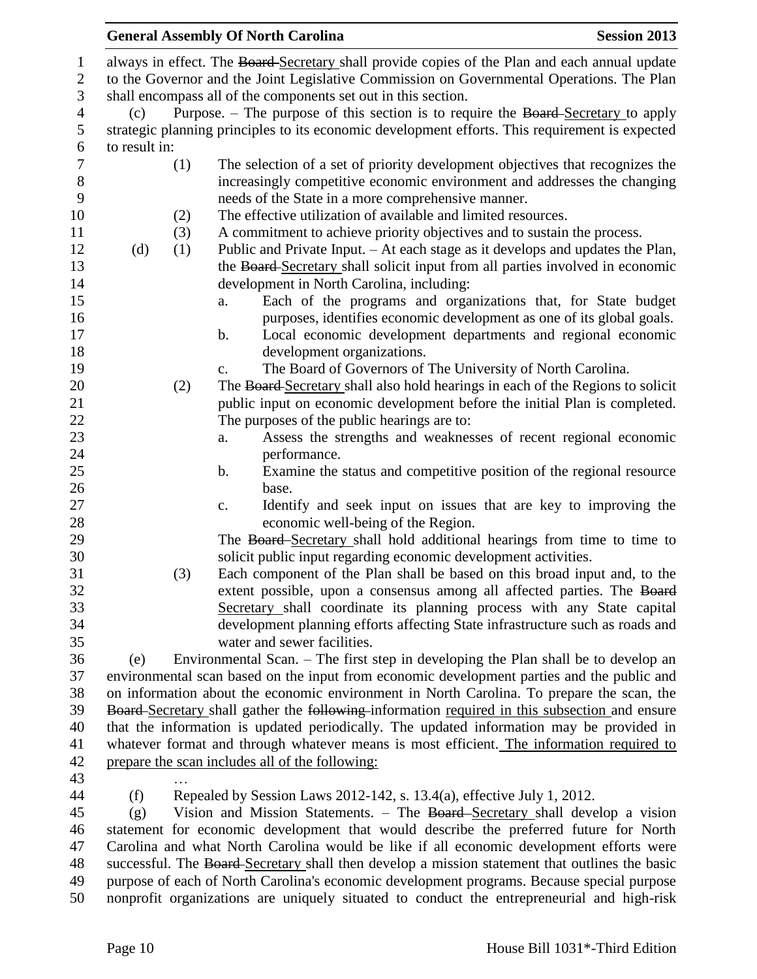# **General Assembly Of North Carolina Session 2013** always in effect. The Board Secretary shall provide copies of the Plan and each annual update to the Governor and the Joint Legislative Commission on Governmental Operations. The Plan shall encompass all of the components set out in this section. (c) Purpose. – The purpose of this section is to require the Board Secretary to apply strategic planning principles to its economic development efforts. This requirement is expected to result in: (1) The selection of a set of priority development objectives that recognizes the increasingly competitive economic environment and addresses the changing needs of the State in a more comprehensive manner. (2) The effective utilization of available and limited resources. (3) A commitment to achieve priority objectives and to sustain the process. (d) (1) Public and Private Input. – At each stage as it develops and updates the Plan, 13 the Board-Secretary shall solicit input from all parties involved in economic development in North Carolina, including: a. Each of the programs and organizations that, for State budget purposes, identifies economic development as one of its global goals. b. Local economic development departments and regional economic development organizations. c. The Board of Governors of The University of North Carolina. 20 (2) The Board-Secretary shall also hold hearings in each of the Regions to solicit public input on economic development before the initial Plan is completed. The purposes of the public hearings are to: a. Assess the strengths and weaknesses of recent regional economic performance. b. Examine the status and competitive position of the regional resource base. c. Identify and seek input on issues that are key to improving the economic well-being of the Region. 29 The Board-Secretary shall hold additional hearings from time to time to solicit public input regarding economic development activities. (3) Each component of the Plan shall be based on this broad input and, to the extent possible, upon a consensus among all affected parties. The Board Secretary shall coordinate its planning process with any State capital development planning efforts affecting State infrastructure such as roads and water and sewer facilities. (e) Environmental Scan. – The first step in developing the Plan shall be to develop an environmental scan based on the input from economic development parties and the public and on information about the economic environment in North Carolina. To prepare the scan, the 39 Board-Secretary shall gather the following information required in this subsection and ensure that the information is updated periodically. The updated information may be provided in whatever format and through whatever means is most efficient. The information required to prepare the scan includes all of the following: …

(f) Repealed by Session Laws 2012-142, s. 13.4(a), effective July 1, 2012.

 (g) Vision and Mission Statements. – The Board Secretary shall develop a vision statement for economic development that would describe the preferred future for North Carolina and what North Carolina would be like if all economic development efforts were 48 successful. The Board-Secretary shall then develop a mission statement that outlines the basic purpose of each of North Carolina's economic development programs. Because special purpose nonprofit organizations are uniquely situated to conduct the entrepreneurial and high-risk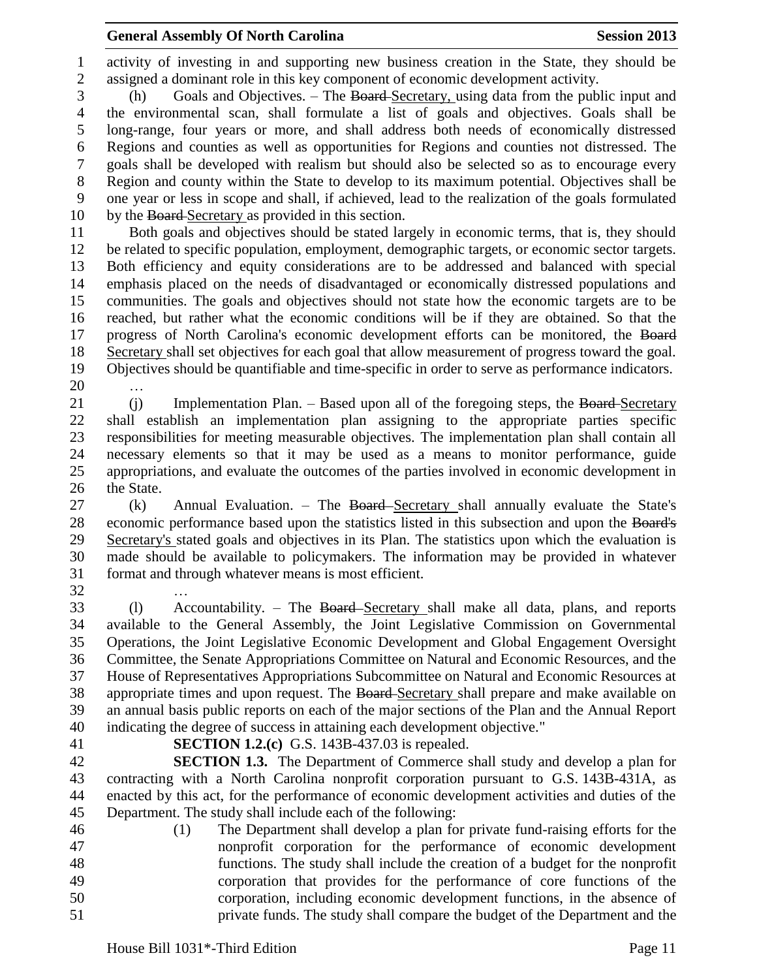activity of investing in and supporting new business creation in the State, they should be assigned a dominant role in this key component of economic development activity.

 (h) Goals and Objectives. – The Board Secretary, using data from the public input and the environmental scan, shall formulate a list of goals and objectives. Goals shall be long-range, four years or more, and shall address both needs of economically distressed Regions and counties as well as opportunities for Regions and counties not distressed. The goals shall be developed with realism but should also be selected so as to encourage every Region and county within the State to develop to its maximum potential. Objectives shall be one year or less in scope and shall, if achieved, lead to the realization of the goals formulated by the Board Secretary as provided in this section.

 Both goals and objectives should be stated largely in economic terms, that is, they should be related to specific population, employment, demographic targets, or economic sector targets. Both efficiency and equity considerations are to be addressed and balanced with special emphasis placed on the needs of disadvantaged or economically distressed populations and communities. The goals and objectives should not state how the economic targets are to be reached, but rather what the economic conditions will be if they are obtained. So that the 17 progress of North Carolina's economic development efforts can be monitored, the Board Secretary shall set objectives for each goal that allow measurement of progress toward the goal. Objectives should be quantifiable and time-specific in order to serve as performance indicators. …

- 21 (j) Implementation Plan. Based upon all of the foregoing steps, the Board-Secretary shall establish an implementation plan assigning to the appropriate parties specific responsibilities for meeting measurable objectives. The implementation plan shall contain all necessary elements so that it may be used as a means to monitor performance, guide appropriations, and evaluate the outcomes of the parties involved in economic development in the State.
- 27 (k) Annual Evaluation. The Board-Secretary shall annually evaluate the State's 28 economic performance based upon the statistics listed in this subsection and upon the Board's Secretary's stated goals and objectives in its Plan. The statistics upon which the evaluation is made should be available to policymakers. The information may be provided in whatever format and through whatever means is most efficient. …
- (l) Accountability. The Board Secretary shall make all data, plans, and reports available to the General Assembly, the Joint Legislative Commission on Governmental Operations, the Joint Legislative Economic Development and Global Engagement Oversight Committee, the Senate Appropriations Committee on Natural and Economic Resources, and the House of Representatives Appropriations Subcommittee on Natural and Economic Resources at 38 appropriate times and upon request. The Board-Secretary shall prepare and make available on an annual basis public reports on each of the major sections of the Plan and the Annual Report indicating the degree of success in attaining each development objective."
- 
- **SECTION 1.2.(c)** G.S. 143B-437.03 is repealed.

 **SECTION 1.3.** The Department of Commerce shall study and develop a plan for contracting with a North Carolina nonprofit corporation pursuant to G.S. 143B-431A, as enacted by this act, for the performance of economic development activities and duties of the Department. The study shall include each of the following:

 (1) The Department shall develop a plan for private fund-raising efforts for the nonprofit corporation for the performance of economic development functions. The study shall include the creation of a budget for the nonprofit corporation that provides for the performance of core functions of the corporation, including economic development functions, in the absence of private funds. The study shall compare the budget of the Department and the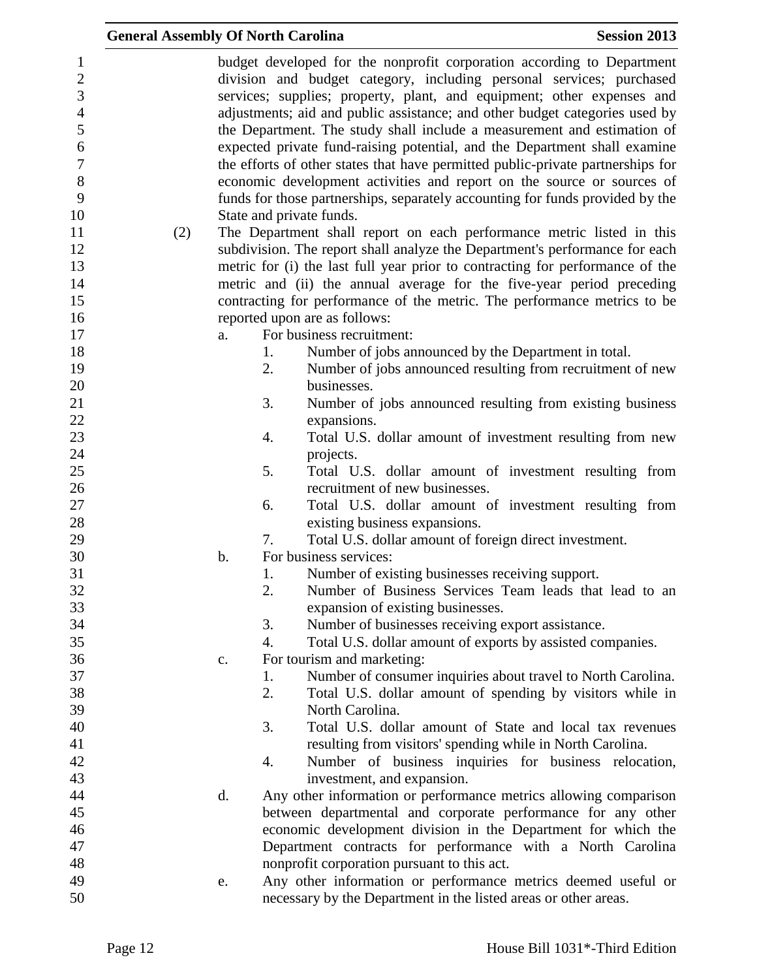|                                                                                                               | <b>General Assembly Of North Carolina</b> |               |    |                                                                                                                                                                                                                                                                                                                                                                                                                                                                                                                                                                                                                                                                                                                                                                                                                    | <b>Session 2013</b> |
|---------------------------------------------------------------------------------------------------------------|-------------------------------------------|---------------|----|--------------------------------------------------------------------------------------------------------------------------------------------------------------------------------------------------------------------------------------------------------------------------------------------------------------------------------------------------------------------------------------------------------------------------------------------------------------------------------------------------------------------------------------------------------------------------------------------------------------------------------------------------------------------------------------------------------------------------------------------------------------------------------------------------------------------|---------------------|
| $\mathbf{1}$<br>$\overline{2}$<br>3<br>$\overline{4}$<br>5<br>6<br>$\boldsymbol{7}$<br>$8\,$<br>9<br>10<br>11 | (2)                                       |               |    | budget developed for the nonprofit corporation according to Department<br>division and budget category, including personal services; purchased<br>services; supplies; property, plant, and equipment; other expenses and<br>adjustments; aid and public assistance; and other budget categories used by<br>the Department. The study shall include a measurement and estimation of<br>expected private fund-raising potential, and the Department shall examine<br>the efforts of other states that have permitted public-private partnerships for<br>economic development activities and report on the source or sources of<br>funds for those partnerships, separately accounting for funds provided by the<br>State and private funds.<br>The Department shall report on each performance metric listed in this |                     |
| 12                                                                                                            |                                           |               |    | subdivision. The report shall analyze the Department's performance for each                                                                                                                                                                                                                                                                                                                                                                                                                                                                                                                                                                                                                                                                                                                                        |                     |
| 13<br>14<br>15                                                                                                |                                           |               |    | metric for (i) the last full year prior to contracting for performance of the<br>metric and (ii) the annual average for the five-year period preceding<br>contracting for performance of the metric. The performance metrics to be                                                                                                                                                                                                                                                                                                                                                                                                                                                                                                                                                                                 |                     |
| 16                                                                                                            |                                           |               |    | reported upon are as follows:                                                                                                                                                                                                                                                                                                                                                                                                                                                                                                                                                                                                                                                                                                                                                                                      |                     |
| 17                                                                                                            |                                           | a.            |    | For business recruitment:                                                                                                                                                                                                                                                                                                                                                                                                                                                                                                                                                                                                                                                                                                                                                                                          |                     |
| 18                                                                                                            |                                           |               | 1. | Number of jobs announced by the Department in total.                                                                                                                                                                                                                                                                                                                                                                                                                                                                                                                                                                                                                                                                                                                                                               |                     |
| 19                                                                                                            |                                           |               | 2. | Number of jobs announced resulting from recruitment of new                                                                                                                                                                                                                                                                                                                                                                                                                                                                                                                                                                                                                                                                                                                                                         |                     |
| 20                                                                                                            |                                           |               |    | businesses.                                                                                                                                                                                                                                                                                                                                                                                                                                                                                                                                                                                                                                                                                                                                                                                                        |                     |
| 21                                                                                                            |                                           |               | 3. | Number of jobs announced resulting from existing business                                                                                                                                                                                                                                                                                                                                                                                                                                                                                                                                                                                                                                                                                                                                                          |                     |
| 22                                                                                                            |                                           |               |    | expansions.                                                                                                                                                                                                                                                                                                                                                                                                                                                                                                                                                                                                                                                                                                                                                                                                        |                     |
| 23                                                                                                            |                                           |               | 4. | Total U.S. dollar amount of investment resulting from new                                                                                                                                                                                                                                                                                                                                                                                                                                                                                                                                                                                                                                                                                                                                                          |                     |
| 24<br>25                                                                                                      |                                           |               | 5. | projects.<br>Total U.S. dollar amount of investment resulting from                                                                                                                                                                                                                                                                                                                                                                                                                                                                                                                                                                                                                                                                                                                                                 |                     |
| 26                                                                                                            |                                           |               |    | recruitment of new businesses.                                                                                                                                                                                                                                                                                                                                                                                                                                                                                                                                                                                                                                                                                                                                                                                     |                     |
| 27                                                                                                            |                                           |               | 6. | Total U.S. dollar amount of investment resulting from                                                                                                                                                                                                                                                                                                                                                                                                                                                                                                                                                                                                                                                                                                                                                              |                     |
| 28                                                                                                            |                                           |               |    | existing business expansions.                                                                                                                                                                                                                                                                                                                                                                                                                                                                                                                                                                                                                                                                                                                                                                                      |                     |
| 29                                                                                                            |                                           |               | 7. | Total U.S. dollar amount of foreign direct investment.                                                                                                                                                                                                                                                                                                                                                                                                                                                                                                                                                                                                                                                                                                                                                             |                     |
| 30                                                                                                            |                                           | $\mathbf b$ . |    | For business services:                                                                                                                                                                                                                                                                                                                                                                                                                                                                                                                                                                                                                                                                                                                                                                                             |                     |
| 31                                                                                                            |                                           |               | 1. | Number of existing businesses receiving support.                                                                                                                                                                                                                                                                                                                                                                                                                                                                                                                                                                                                                                                                                                                                                                   |                     |
| 32                                                                                                            |                                           |               | 2. | Number of Business Services Team leads that lead to an                                                                                                                                                                                                                                                                                                                                                                                                                                                                                                                                                                                                                                                                                                                                                             |                     |
| 33                                                                                                            |                                           |               |    | expansion of existing businesses.                                                                                                                                                                                                                                                                                                                                                                                                                                                                                                                                                                                                                                                                                                                                                                                  |                     |
| 34                                                                                                            |                                           |               | 3. | Number of businesses receiving export assistance.                                                                                                                                                                                                                                                                                                                                                                                                                                                                                                                                                                                                                                                                                                                                                                  |                     |
| 35                                                                                                            |                                           |               | 4. | Total U.S. dollar amount of exports by assisted companies.                                                                                                                                                                                                                                                                                                                                                                                                                                                                                                                                                                                                                                                                                                                                                         |                     |
| 36                                                                                                            |                                           | c.            |    | For tourism and marketing:                                                                                                                                                                                                                                                                                                                                                                                                                                                                                                                                                                                                                                                                                                                                                                                         |                     |
| 37                                                                                                            |                                           |               | 1. | Number of consumer inquiries about travel to North Carolina.                                                                                                                                                                                                                                                                                                                                                                                                                                                                                                                                                                                                                                                                                                                                                       |                     |
| 38                                                                                                            |                                           |               | 2. | Total U.S. dollar amount of spending by visitors while in                                                                                                                                                                                                                                                                                                                                                                                                                                                                                                                                                                                                                                                                                                                                                          |                     |
| 39                                                                                                            |                                           |               |    | North Carolina.                                                                                                                                                                                                                                                                                                                                                                                                                                                                                                                                                                                                                                                                                                                                                                                                    |                     |
| 40                                                                                                            |                                           |               | 3. | Total U.S. dollar amount of State and local tax revenues                                                                                                                                                                                                                                                                                                                                                                                                                                                                                                                                                                                                                                                                                                                                                           |                     |
| 41                                                                                                            |                                           |               |    | resulting from visitors' spending while in North Carolina.                                                                                                                                                                                                                                                                                                                                                                                                                                                                                                                                                                                                                                                                                                                                                         |                     |
| 42                                                                                                            |                                           |               | 4. | Number of business inquiries for business relocation,                                                                                                                                                                                                                                                                                                                                                                                                                                                                                                                                                                                                                                                                                                                                                              |                     |
| 43                                                                                                            |                                           |               |    | investment, and expansion.                                                                                                                                                                                                                                                                                                                                                                                                                                                                                                                                                                                                                                                                                                                                                                                         |                     |
| 44<br>45                                                                                                      |                                           | d.            |    | Any other information or performance metrics allowing comparison                                                                                                                                                                                                                                                                                                                                                                                                                                                                                                                                                                                                                                                                                                                                                   |                     |
| 46                                                                                                            |                                           |               |    | between departmental and corporate performance for any other<br>economic development division in the Department for which the                                                                                                                                                                                                                                                                                                                                                                                                                                                                                                                                                                                                                                                                                      |                     |
| 47                                                                                                            |                                           |               |    | Department contracts for performance with a North Carolina                                                                                                                                                                                                                                                                                                                                                                                                                                                                                                                                                                                                                                                                                                                                                         |                     |
| 48                                                                                                            |                                           |               |    | nonprofit corporation pursuant to this act.                                                                                                                                                                                                                                                                                                                                                                                                                                                                                                                                                                                                                                                                                                                                                                        |                     |
| 49                                                                                                            |                                           | e.            |    | Any other information or performance metrics deemed useful or                                                                                                                                                                                                                                                                                                                                                                                                                                                                                                                                                                                                                                                                                                                                                      |                     |
| 50                                                                                                            |                                           |               |    | necessary by the Department in the listed areas or other areas.                                                                                                                                                                                                                                                                                                                                                                                                                                                                                                                                                                                                                                                                                                                                                    |                     |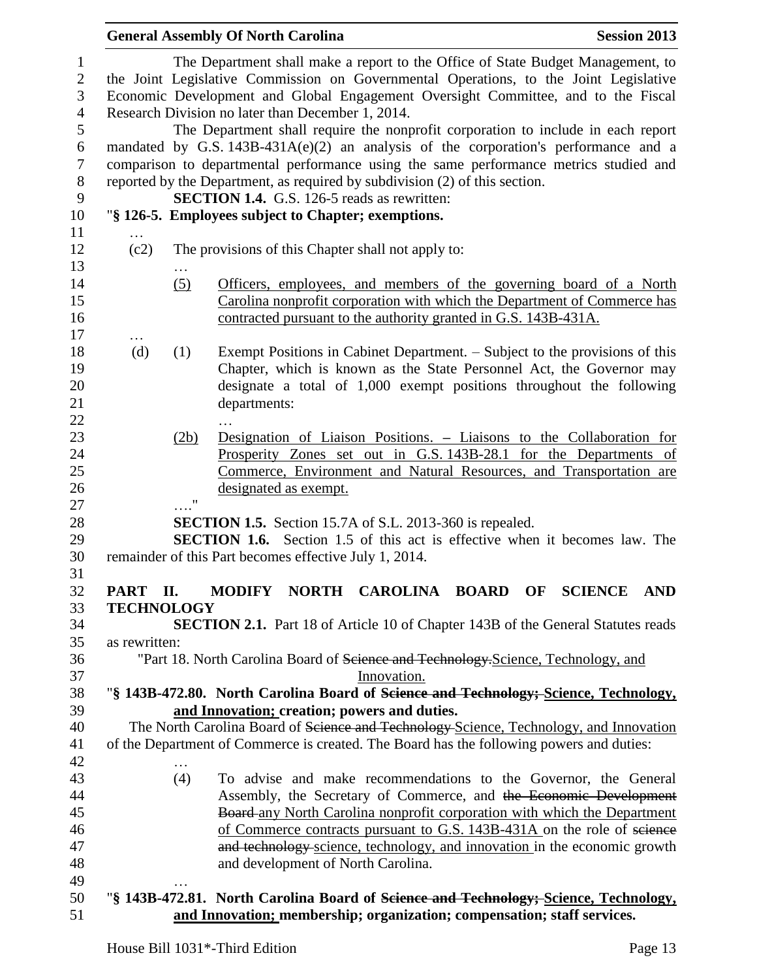|   |                  |                                                      | <b>Session 2013</b>                                                                                                                                                                                                                                                                                                                                                                                                                                                                                                                                                                                                                                                                                                                                                                                                                                                                                                                                                                                                                                                                                                                                                                                                                                                                                                                                                                                                                                                                                                                                                                                                                                                                                                                                                                                                                                                                                                                                                                                                                                                                                                                                                                                                                                                                                                                                                                                                                                                                                                                                                                                                                                                                                                                                                                                                                                                                                                                                                                                |
|---|------------------|------------------------------------------------------|----------------------------------------------------------------------------------------------------------------------------------------------------------------------------------------------------------------------------------------------------------------------------------------------------------------------------------------------------------------------------------------------------------------------------------------------------------------------------------------------------------------------------------------------------------------------------------------------------------------------------------------------------------------------------------------------------------------------------------------------------------------------------------------------------------------------------------------------------------------------------------------------------------------------------------------------------------------------------------------------------------------------------------------------------------------------------------------------------------------------------------------------------------------------------------------------------------------------------------------------------------------------------------------------------------------------------------------------------------------------------------------------------------------------------------------------------------------------------------------------------------------------------------------------------------------------------------------------------------------------------------------------------------------------------------------------------------------------------------------------------------------------------------------------------------------------------------------------------------------------------------------------------------------------------------------------------------------------------------------------------------------------------------------------------------------------------------------------------------------------------------------------------------------------------------------------------------------------------------------------------------------------------------------------------------------------------------------------------------------------------------------------------------------------------------------------------------------------------------------------------------------------------------------------------------------------------------------------------------------------------------------------------------------------------------------------------------------------------------------------------------------------------------------------------------------------------------------------------------------------------------------------------------------------------------------------------------------------------------------------------|
|   |                  |                                                      |                                                                                                                                                                                                                                                                                                                                                                                                                                                                                                                                                                                                                                                                                                                                                                                                                                                                                                                                                                                                                                                                                                                                                                                                                                                                                                                                                                                                                                                                                                                                                                                                                                                                                                                                                                                                                                                                                                                                                                                                                                                                                                                                                                                                                                                                                                                                                                                                                                                                                                                                                                                                                                                                                                                                                                                                                                                                                                                                                                                                    |
|   |                  |                                                      |                                                                                                                                                                                                                                                                                                                                                                                                                                                                                                                                                                                                                                                                                                                                                                                                                                                                                                                                                                                                                                                                                                                                                                                                                                                                                                                                                                                                                                                                                                                                                                                                                                                                                                                                                                                                                                                                                                                                                                                                                                                                                                                                                                                                                                                                                                                                                                                                                                                                                                                                                                                                                                                                                                                                                                                                                                                                                                                                                                                                    |
|   |                  |                                                      |                                                                                                                                                                                                                                                                                                                                                                                                                                                                                                                                                                                                                                                                                                                                                                                                                                                                                                                                                                                                                                                                                                                                                                                                                                                                                                                                                                                                                                                                                                                                                                                                                                                                                                                                                                                                                                                                                                                                                                                                                                                                                                                                                                                                                                                                                                                                                                                                                                                                                                                                                                                                                                                                                                                                                                                                                                                                                                                                                                                                    |
|   |                  |                                                      |                                                                                                                                                                                                                                                                                                                                                                                                                                                                                                                                                                                                                                                                                                                                                                                                                                                                                                                                                                                                                                                                                                                                                                                                                                                                                                                                                                                                                                                                                                                                                                                                                                                                                                                                                                                                                                                                                                                                                                                                                                                                                                                                                                                                                                                                                                                                                                                                                                                                                                                                                                                                                                                                                                                                                                                                                                                                                                                                                                                                    |
|   |                  |                                                      |                                                                                                                                                                                                                                                                                                                                                                                                                                                                                                                                                                                                                                                                                                                                                                                                                                                                                                                                                                                                                                                                                                                                                                                                                                                                                                                                                                                                                                                                                                                                                                                                                                                                                                                                                                                                                                                                                                                                                                                                                                                                                                                                                                                                                                                                                                                                                                                                                                                                                                                                                                                                                                                                                                                                                                                                                                                                                                                                                                                                    |
|   |                  |                                                      |                                                                                                                                                                                                                                                                                                                                                                                                                                                                                                                                                                                                                                                                                                                                                                                                                                                                                                                                                                                                                                                                                                                                                                                                                                                                                                                                                                                                                                                                                                                                                                                                                                                                                                                                                                                                                                                                                                                                                                                                                                                                                                                                                                                                                                                                                                                                                                                                                                                                                                                                                                                                                                                                                                                                                                                                                                                                                                                                                                                                    |
|   |                  |                                                      |                                                                                                                                                                                                                                                                                                                                                                                                                                                                                                                                                                                                                                                                                                                                                                                                                                                                                                                                                                                                                                                                                                                                                                                                                                                                                                                                                                                                                                                                                                                                                                                                                                                                                                                                                                                                                                                                                                                                                                                                                                                                                                                                                                                                                                                                                                                                                                                                                                                                                                                                                                                                                                                                                                                                                                                                                                                                                                                                                                                                    |
|   |                  |                                                      |                                                                                                                                                                                                                                                                                                                                                                                                                                                                                                                                                                                                                                                                                                                                                                                                                                                                                                                                                                                                                                                                                                                                                                                                                                                                                                                                                                                                                                                                                                                                                                                                                                                                                                                                                                                                                                                                                                                                                                                                                                                                                                                                                                                                                                                                                                                                                                                                                                                                                                                                                                                                                                                                                                                                                                                                                                                                                                                                                                                                    |
|   |                  |                                                      |                                                                                                                                                                                                                                                                                                                                                                                                                                                                                                                                                                                                                                                                                                                                                                                                                                                                                                                                                                                                                                                                                                                                                                                                                                                                                                                                                                                                                                                                                                                                                                                                                                                                                                                                                                                                                                                                                                                                                                                                                                                                                                                                                                                                                                                                                                                                                                                                                                                                                                                                                                                                                                                                                                                                                                                                                                                                                                                                                                                                    |
|   |                  |                                                      |                                                                                                                                                                                                                                                                                                                                                                                                                                                                                                                                                                                                                                                                                                                                                                                                                                                                                                                                                                                                                                                                                                                                                                                                                                                                                                                                                                                                                                                                                                                                                                                                                                                                                                                                                                                                                                                                                                                                                                                                                                                                                                                                                                                                                                                                                                                                                                                                                                                                                                                                                                                                                                                                                                                                                                                                                                                                                                                                                                                                    |
|   |                  |                                                      |                                                                                                                                                                                                                                                                                                                                                                                                                                                                                                                                                                                                                                                                                                                                                                                                                                                                                                                                                                                                                                                                                                                                                                                                                                                                                                                                                                                                                                                                                                                                                                                                                                                                                                                                                                                                                                                                                                                                                                                                                                                                                                                                                                                                                                                                                                                                                                                                                                                                                                                                                                                                                                                                                                                                                                                                                                                                                                                                                                                                    |
| . |                  |                                                      |                                                                                                                                                                                                                                                                                                                                                                                                                                                                                                                                                                                                                                                                                                                                                                                                                                                                                                                                                                                                                                                                                                                                                                                                                                                                                                                                                                                                                                                                                                                                                                                                                                                                                                                                                                                                                                                                                                                                                                                                                                                                                                                                                                                                                                                                                                                                                                                                                                                                                                                                                                                                                                                                                                                                                                                                                                                                                                                                                                                                    |
|   |                  |                                                      |                                                                                                                                                                                                                                                                                                                                                                                                                                                                                                                                                                                                                                                                                                                                                                                                                                                                                                                                                                                                                                                                                                                                                                                                                                                                                                                                                                                                                                                                                                                                                                                                                                                                                                                                                                                                                                                                                                                                                                                                                                                                                                                                                                                                                                                                                                                                                                                                                                                                                                                                                                                                                                                                                                                                                                                                                                                                                                                                                                                                    |
|   |                  |                                                      |                                                                                                                                                                                                                                                                                                                                                                                                                                                                                                                                                                                                                                                                                                                                                                                                                                                                                                                                                                                                                                                                                                                                                                                                                                                                                                                                                                                                                                                                                                                                                                                                                                                                                                                                                                                                                                                                                                                                                                                                                                                                                                                                                                                                                                                                                                                                                                                                                                                                                                                                                                                                                                                                                                                                                                                                                                                                                                                                                                                                    |
|   | (5)              |                                                      |                                                                                                                                                                                                                                                                                                                                                                                                                                                                                                                                                                                                                                                                                                                                                                                                                                                                                                                                                                                                                                                                                                                                                                                                                                                                                                                                                                                                                                                                                                                                                                                                                                                                                                                                                                                                                                                                                                                                                                                                                                                                                                                                                                                                                                                                                                                                                                                                                                                                                                                                                                                                                                                                                                                                                                                                                                                                                                                                                                                                    |
|   |                  |                                                      |                                                                                                                                                                                                                                                                                                                                                                                                                                                                                                                                                                                                                                                                                                                                                                                                                                                                                                                                                                                                                                                                                                                                                                                                                                                                                                                                                                                                                                                                                                                                                                                                                                                                                                                                                                                                                                                                                                                                                                                                                                                                                                                                                                                                                                                                                                                                                                                                                                                                                                                                                                                                                                                                                                                                                                                                                                                                                                                                                                                                    |
|   |                  |                                                      |                                                                                                                                                                                                                                                                                                                                                                                                                                                                                                                                                                                                                                                                                                                                                                                                                                                                                                                                                                                                                                                                                                                                                                                                                                                                                                                                                                                                                                                                                                                                                                                                                                                                                                                                                                                                                                                                                                                                                                                                                                                                                                                                                                                                                                                                                                                                                                                                                                                                                                                                                                                                                                                                                                                                                                                                                                                                                                                                                                                                    |
|   |                  |                                                      |                                                                                                                                                                                                                                                                                                                                                                                                                                                                                                                                                                                                                                                                                                                                                                                                                                                                                                                                                                                                                                                                                                                                                                                                                                                                                                                                                                                                                                                                                                                                                                                                                                                                                                                                                                                                                                                                                                                                                                                                                                                                                                                                                                                                                                                                                                                                                                                                                                                                                                                                                                                                                                                                                                                                                                                                                                                                                                                                                                                                    |
|   |                  |                                                      |                                                                                                                                                                                                                                                                                                                                                                                                                                                                                                                                                                                                                                                                                                                                                                                                                                                                                                                                                                                                                                                                                                                                                                                                                                                                                                                                                                                                                                                                                                                                                                                                                                                                                                                                                                                                                                                                                                                                                                                                                                                                                                                                                                                                                                                                                                                                                                                                                                                                                                                                                                                                                                                                                                                                                                                                                                                                                                                                                                                                    |
|   |                  |                                                      |                                                                                                                                                                                                                                                                                                                                                                                                                                                                                                                                                                                                                                                                                                                                                                                                                                                                                                                                                                                                                                                                                                                                                                                                                                                                                                                                                                                                                                                                                                                                                                                                                                                                                                                                                                                                                                                                                                                                                                                                                                                                                                                                                                                                                                                                                                                                                                                                                                                                                                                                                                                                                                                                                                                                                                                                                                                                                                                                                                                                    |
|   |                  |                                                      |                                                                                                                                                                                                                                                                                                                                                                                                                                                                                                                                                                                                                                                                                                                                                                                                                                                                                                                                                                                                                                                                                                                                                                                                                                                                                                                                                                                                                                                                                                                                                                                                                                                                                                                                                                                                                                                                                                                                                                                                                                                                                                                                                                                                                                                                                                                                                                                                                                                                                                                                                                                                                                                                                                                                                                                                                                                                                                                                                                                                    |
|   |                  |                                                      |                                                                                                                                                                                                                                                                                                                                                                                                                                                                                                                                                                                                                                                                                                                                                                                                                                                                                                                                                                                                                                                                                                                                                                                                                                                                                                                                                                                                                                                                                                                                                                                                                                                                                                                                                                                                                                                                                                                                                                                                                                                                                                                                                                                                                                                                                                                                                                                                                                                                                                                                                                                                                                                                                                                                                                                                                                                                                                                                                                                                    |
|   |                  |                                                      |                                                                                                                                                                                                                                                                                                                                                                                                                                                                                                                                                                                                                                                                                                                                                                                                                                                                                                                                                                                                                                                                                                                                                                                                                                                                                                                                                                                                                                                                                                                                                                                                                                                                                                                                                                                                                                                                                                                                                                                                                                                                                                                                                                                                                                                                                                                                                                                                                                                                                                                                                                                                                                                                                                                                                                                                                                                                                                                                                                                                    |
|   |                  |                                                      |                                                                                                                                                                                                                                                                                                                                                                                                                                                                                                                                                                                                                                                                                                                                                                                                                                                                                                                                                                                                                                                                                                                                                                                                                                                                                                                                                                                                                                                                                                                                                                                                                                                                                                                                                                                                                                                                                                                                                                                                                                                                                                                                                                                                                                                                                                                                                                                                                                                                                                                                                                                                                                                                                                                                                                                                                                                                                                                                                                                                    |
|   |                  |                                                      |                                                                                                                                                                                                                                                                                                                                                                                                                                                                                                                                                                                                                                                                                                                                                                                                                                                                                                                                                                                                                                                                                                                                                                                                                                                                                                                                                                                                                                                                                                                                                                                                                                                                                                                                                                                                                                                                                                                                                                                                                                                                                                                                                                                                                                                                                                                                                                                                                                                                                                                                                                                                                                                                                                                                                                                                                                                                                                                                                                                                    |
|   |                  |                                                      |                                                                                                                                                                                                                                                                                                                                                                                                                                                                                                                                                                                                                                                                                                                                                                                                                                                                                                                                                                                                                                                                                                                                                                                                                                                                                                                                                                                                                                                                                                                                                                                                                                                                                                                                                                                                                                                                                                                                                                                                                                                                                                                                                                                                                                                                                                                                                                                                                                                                                                                                                                                                                                                                                                                                                                                                                                                                                                                                                                                                    |
|   |                  |                                                      |                                                                                                                                                                                                                                                                                                                                                                                                                                                                                                                                                                                                                                                                                                                                                                                                                                                                                                                                                                                                                                                                                                                                                                                                                                                                                                                                                                                                                                                                                                                                                                                                                                                                                                                                                                                                                                                                                                                                                                                                                                                                                                                                                                                                                                                                                                                                                                                                                                                                                                                                                                                                                                                                                                                                                                                                                                                                                                                                                                                                    |
|   |                  |                                                      |                                                                                                                                                                                                                                                                                                                                                                                                                                                                                                                                                                                                                                                                                                                                                                                                                                                                                                                                                                                                                                                                                                                                                                                                                                                                                                                                                                                                                                                                                                                                                                                                                                                                                                                                                                                                                                                                                                                                                                                                                                                                                                                                                                                                                                                                                                                                                                                                                                                                                                                                                                                                                                                                                                                                                                                                                                                                                                                                                                                                    |
|   |                  |                                                      |                                                                                                                                                                                                                                                                                                                                                                                                                                                                                                                                                                                                                                                                                                                                                                                                                                                                                                                                                                                                                                                                                                                                                                                                                                                                                                                                                                                                                                                                                                                                                                                                                                                                                                                                                                                                                                                                                                                                                                                                                                                                                                                                                                                                                                                                                                                                                                                                                                                                                                                                                                                                                                                                                                                                                                                                                                                                                                                                                                                                    |
|   |                  |                                                      |                                                                                                                                                                                                                                                                                                                                                                                                                                                                                                                                                                                                                                                                                                                                                                                                                                                                                                                                                                                                                                                                                                                                                                                                                                                                                                                                                                                                                                                                                                                                                                                                                                                                                                                                                                                                                                                                                                                                                                                                                                                                                                                                                                                                                                                                                                                                                                                                                                                                                                                                                                                                                                                                                                                                                                                                                                                                                                                                                                                                    |
|   |                  |                                                      |                                                                                                                                                                                                                                                                                                                                                                                                                                                                                                                                                                                                                                                                                                                                                                                                                                                                                                                                                                                                                                                                                                                                                                                                                                                                                                                                                                                                                                                                                                                                                                                                                                                                                                                                                                                                                                                                                                                                                                                                                                                                                                                                                                                                                                                                                                                                                                                                                                                                                                                                                                                                                                                                                                                                                                                                                                                                                                                                                                                                    |
|   |                  |                                                      |                                                                                                                                                                                                                                                                                                                                                                                                                                                                                                                                                                                                                                                                                                                                                                                                                                                                                                                                                                                                                                                                                                                                                                                                                                                                                                                                                                                                                                                                                                                                                                                                                                                                                                                                                                                                                                                                                                                                                                                                                                                                                                                                                                                                                                                                                                                                                                                                                                                                                                                                                                                                                                                                                                                                                                                                                                                                                                                                                                                                    |
|   |                  |                                                      |                                                                                                                                                                                                                                                                                                                                                                                                                                                                                                                                                                                                                                                                                                                                                                                                                                                                                                                                                                                                                                                                                                                                                                                                                                                                                                                                                                                                                                                                                                                                                                                                                                                                                                                                                                                                                                                                                                                                                                                                                                                                                                                                                                                                                                                                                                                                                                                                                                                                                                                                                                                                                                                                                                                                                                                                                                                                                                                                                                                                    |
|   |                  | OF                                                   | <b>AND</b><br><b>SCIENCE</b>                                                                                                                                                                                                                                                                                                                                                                                                                                                                                                                                                                                                                                                                                                                                                                                                                                                                                                                                                                                                                                                                                                                                                                                                                                                                                                                                                                                                                                                                                                                                                                                                                                                                                                                                                                                                                                                                                                                                                                                                                                                                                                                                                                                                                                                                                                                                                                                                                                                                                                                                                                                                                                                                                                                                                                                                                                                                                                                                                                       |
|   |                  |                                                      |                                                                                                                                                                                                                                                                                                                                                                                                                                                                                                                                                                                                                                                                                                                                                                                                                                                                                                                                                                                                                                                                                                                                                                                                                                                                                                                                                                                                                                                                                                                                                                                                                                                                                                                                                                                                                                                                                                                                                                                                                                                                                                                                                                                                                                                                                                                                                                                                                                                                                                                                                                                                                                                                                                                                                                                                                                                                                                                                                                                                    |
|   |                  |                                                      |                                                                                                                                                                                                                                                                                                                                                                                                                                                                                                                                                                                                                                                                                                                                                                                                                                                                                                                                                                                                                                                                                                                                                                                                                                                                                                                                                                                                                                                                                                                                                                                                                                                                                                                                                                                                                                                                                                                                                                                                                                                                                                                                                                                                                                                                                                                                                                                                                                                                                                                                                                                                                                                                                                                                                                                                                                                                                                                                                                                                    |
|   |                  |                                                      |                                                                                                                                                                                                                                                                                                                                                                                                                                                                                                                                                                                                                                                                                                                                                                                                                                                                                                                                                                                                                                                                                                                                                                                                                                                                                                                                                                                                                                                                                                                                                                                                                                                                                                                                                                                                                                                                                                                                                                                                                                                                                                                                                                                                                                                                                                                                                                                                                                                                                                                                                                                                                                                                                                                                                                                                                                                                                                                                                                                                    |
|   |                  |                                                      |                                                                                                                                                                                                                                                                                                                                                                                                                                                                                                                                                                                                                                                                                                                                                                                                                                                                                                                                                                                                                                                                                                                                                                                                                                                                                                                                                                                                                                                                                                                                                                                                                                                                                                                                                                                                                                                                                                                                                                                                                                                                                                                                                                                                                                                                                                                                                                                                                                                                                                                                                                                                                                                                                                                                                                                                                                                                                                                                                                                                    |
|   |                  |                                                      |                                                                                                                                                                                                                                                                                                                                                                                                                                                                                                                                                                                                                                                                                                                                                                                                                                                                                                                                                                                                                                                                                                                                                                                                                                                                                                                                                                                                                                                                                                                                                                                                                                                                                                                                                                                                                                                                                                                                                                                                                                                                                                                                                                                                                                                                                                                                                                                                                                                                                                                                                                                                                                                                                                                                                                                                                                                                                                                                                                                                    |
|   |                  |                                                      |                                                                                                                                                                                                                                                                                                                                                                                                                                                                                                                                                                                                                                                                                                                                                                                                                                                                                                                                                                                                                                                                                                                                                                                                                                                                                                                                                                                                                                                                                                                                                                                                                                                                                                                                                                                                                                                                                                                                                                                                                                                                                                                                                                                                                                                                                                                                                                                                                                                                                                                                                                                                                                                                                                                                                                                                                                                                                                                                                                                                    |
|   |                  |                                                      |                                                                                                                                                                                                                                                                                                                                                                                                                                                                                                                                                                                                                                                                                                                                                                                                                                                                                                                                                                                                                                                                                                                                                                                                                                                                                                                                                                                                                                                                                                                                                                                                                                                                                                                                                                                                                                                                                                                                                                                                                                                                                                                                                                                                                                                                                                                                                                                                                                                                                                                                                                                                                                                                                                                                                                                                                                                                                                                                                                                                    |
|   |                  |                                                      |                                                                                                                                                                                                                                                                                                                                                                                                                                                                                                                                                                                                                                                                                                                                                                                                                                                                                                                                                                                                                                                                                                                                                                                                                                                                                                                                                                                                                                                                                                                                                                                                                                                                                                                                                                                                                                                                                                                                                                                                                                                                                                                                                                                                                                                                                                                                                                                                                                                                                                                                                                                                                                                                                                                                                                                                                                                                                                                                                                                                    |
|   |                  |                                                      |                                                                                                                                                                                                                                                                                                                                                                                                                                                                                                                                                                                                                                                                                                                                                                                                                                                                                                                                                                                                                                                                                                                                                                                                                                                                                                                                                                                                                                                                                                                                                                                                                                                                                                                                                                                                                                                                                                                                                                                                                                                                                                                                                                                                                                                                                                                                                                                                                                                                                                                                                                                                                                                                                                                                                                                                                                                                                                                                                                                                    |
|   |                  |                                                      |                                                                                                                                                                                                                                                                                                                                                                                                                                                                                                                                                                                                                                                                                                                                                                                                                                                                                                                                                                                                                                                                                                                                                                                                                                                                                                                                                                                                                                                                                                                                                                                                                                                                                                                                                                                                                                                                                                                                                                                                                                                                                                                                                                                                                                                                                                                                                                                                                                                                                                                                                                                                                                                                                                                                                                                                                                                                                                                                                                                                    |
|   |                  |                                                      |                                                                                                                                                                                                                                                                                                                                                                                                                                                                                                                                                                                                                                                                                                                                                                                                                                                                                                                                                                                                                                                                                                                                                                                                                                                                                                                                                                                                                                                                                                                                                                                                                                                                                                                                                                                                                                                                                                                                                                                                                                                                                                                                                                                                                                                                                                                                                                                                                                                                                                                                                                                                                                                                                                                                                                                                                                                                                                                                                                                                    |
|   |                  |                                                      |                                                                                                                                                                                                                                                                                                                                                                                                                                                                                                                                                                                                                                                                                                                                                                                                                                                                                                                                                                                                                                                                                                                                                                                                                                                                                                                                                                                                                                                                                                                                                                                                                                                                                                                                                                                                                                                                                                                                                                                                                                                                                                                                                                                                                                                                                                                                                                                                                                                                                                                                                                                                                                                                                                                                                                                                                                                                                                                                                                                                    |
|   |                  |                                                      |                                                                                                                                                                                                                                                                                                                                                                                                                                                                                                                                                                                                                                                                                                                                                                                                                                                                                                                                                                                                                                                                                                                                                                                                                                                                                                                                                                                                                                                                                                                                                                                                                                                                                                                                                                                                                                                                                                                                                                                                                                                                                                                                                                                                                                                                                                                                                                                                                                                                                                                                                                                                                                                                                                                                                                                                                                                                                                                                                                                                    |
|   |                  |                                                      |                                                                                                                                                                                                                                                                                                                                                                                                                                                                                                                                                                                                                                                                                                                                                                                                                                                                                                                                                                                                                                                                                                                                                                                                                                                                                                                                                                                                                                                                                                                                                                                                                                                                                                                                                                                                                                                                                                                                                                                                                                                                                                                                                                                                                                                                                                                                                                                                                                                                                                                                                                                                                                                                                                                                                                                                                                                                                                                                                                                                    |
|   |                  |                                                      |                                                                                                                                                                                                                                                                                                                                                                                                                                                                                                                                                                                                                                                                                                                                                                                                                                                                                                                                                                                                                                                                                                                                                                                                                                                                                                                                                                                                                                                                                                                                                                                                                                                                                                                                                                                                                                                                                                                                                                                                                                                                                                                                                                                                                                                                                                                                                                                                                                                                                                                                                                                                                                                                                                                                                                                                                                                                                                                                                                                                    |
|   |                  |                                                      |                                                                                                                                                                                                                                                                                                                                                                                                                                                                                                                                                                                                                                                                                                                                                                                                                                                                                                                                                                                                                                                                                                                                                                                                                                                                                                                                                                                                                                                                                                                                                                                                                                                                                                                                                                                                                                                                                                                                                                                                                                                                                                                                                                                                                                                                                                                                                                                                                                                                                                                                                                                                                                                                                                                                                                                                                                                                                                                                                                                                    |
|   |                  |                                                      |                                                                                                                                                                                                                                                                                                                                                                                                                                                                                                                                                                                                                                                                                                                                                                                                                                                                                                                                                                                                                                                                                                                                                                                                                                                                                                                                                                                                                                                                                                                                                                                                                                                                                                                                                                                                                                                                                                                                                                                                                                                                                                                                                                                                                                                                                                                                                                                                                                                                                                                                                                                                                                                                                                                                                                                                                                                                                                                                                                                                    |
|   |                  |                                                      |                                                                                                                                                                                                                                                                                                                                                                                                                                                                                                                                                                                                                                                                                                                                                                                                                                                                                                                                                                                                                                                                                                                                                                                                                                                                                                                                                                                                                                                                                                                                                                                                                                                                                                                                                                                                                                                                                                                                                                                                                                                                                                                                                                                                                                                                                                                                                                                                                                                                                                                                                                                                                                                                                                                                                                                                                                                                                                                                                                                                    |
|   |                  |                                                      |                                                                                                                                                                                                                                                                                                                                                                                                                                                                                                                                                                                                                                                                                                                                                                                                                                                                                                                                                                                                                                                                                                                                                                                                                                                                                                                                                                                                                                                                                                                                                                                                                                                                                                                                                                                                                                                                                                                                                                                                                                                                                                                                                                                                                                                                                                                                                                                                                                                                                                                                                                                                                                                                                                                                                                                                                                                                                                                                                                                                    |
|   |                  |                                                      |                                                                                                                                                                                                                                                                                                                                                                                                                                                                                                                                                                                                                                                                                                                                                                                                                                                                                                                                                                                                                                                                                                                                                                                                                                                                                                                                                                                                                                                                                                                                                                                                                                                                                                                                                                                                                                                                                                                                                                                                                                                                                                                                                                                                                                                                                                                                                                                                                                                                                                                                                                                                                                                                                                                                                                                                                                                                                                                                                                                                    |
|   | (c2)<br>.<br>(d) | (1)<br>(2b)<br>"<br>PART II.<br>as rewritten:<br>(4) | <b>General Assembly Of North Carolina</b><br>The Department shall make a report to the Office of State Budget Management, to<br>the Joint Legislative Commission on Governmental Operations, to the Joint Legislative<br>Economic Development and Global Engagement Oversight Committee, and to the Fiscal<br>Research Division no later than December 1, 2014.<br>The Department shall require the nonprofit corporation to include in each report<br>mandated by G.S. $143B-431A(e)(2)$ an analysis of the corporation's performance and a<br>comparison to departmental performance using the same performance metrics studied and<br>reported by the Department, as required by subdivision (2) of this section.<br><b>SECTION 1.4.</b> G.S. 126-5 reads as rewritten:<br>"§ 126-5. Employees subject to Chapter; exemptions.<br>The provisions of this Chapter shall not apply to:<br>Officers, employees, and members of the governing board of a North<br>Carolina nonprofit corporation with which the Department of Commerce has<br>contracted pursuant to the authority granted in G.S. 143B-431A.<br>Exempt Positions in Cabinet Department. – Subject to the provisions of this<br>Chapter, which is known as the State Personnel Act, the Governor may<br>designate a total of 1,000 exempt positions throughout the following<br>departments:<br>Designation of Liaison Positions. – Liaisons to the Collaboration for<br>Prosperity Zones set out in G.S. 143B-28.1 for the Departments of<br>Commerce, Environment and Natural Resources, and Transportation are<br>designated as exempt.<br><b>SECTION 1.5.</b> Section 15.7A of S.L. 2013-360 is repealed.<br><b>SECTION 1.6.</b> Section 1.5 of this act is effective when it becomes law. The<br>remainder of this Part becomes effective July 1, 2014.<br>MODIFY NORTH CAROLINA BOARD<br><b>TECHNOLOGY</b><br><b>SECTION 2.1.</b> Part 18 of Article 10 of Chapter 143B of the General Statutes reads<br>"Part 18. North Carolina Board of Science and Technology. Science, Technology, and<br>Innovation.<br>"§ 143B-472.80. North Carolina Board of Science and Technology; Science, Technology,<br>and Innovation; creation; powers and duties.<br>The North Carolina Board of Science and Technology-Science, Technology, and Innovation<br>of the Department of Commerce is created. The Board has the following powers and duties:<br>To advise and make recommendations to the Governor, the General<br>Assembly, the Secretary of Commerce, and the Economic Development<br>Board-any North Carolina nonprofit corporation with which the Department<br>of Commerce contracts pursuant to G.S. 143B-431A on the role of science<br>and technology science, technology, and innovation in the economic growth<br>and development of North Carolina.<br>"§ 143B-472.81. North Carolina Board of Science and Technology; Science, Technology,<br>and Innovation; membership; organization; compensation; staff services. |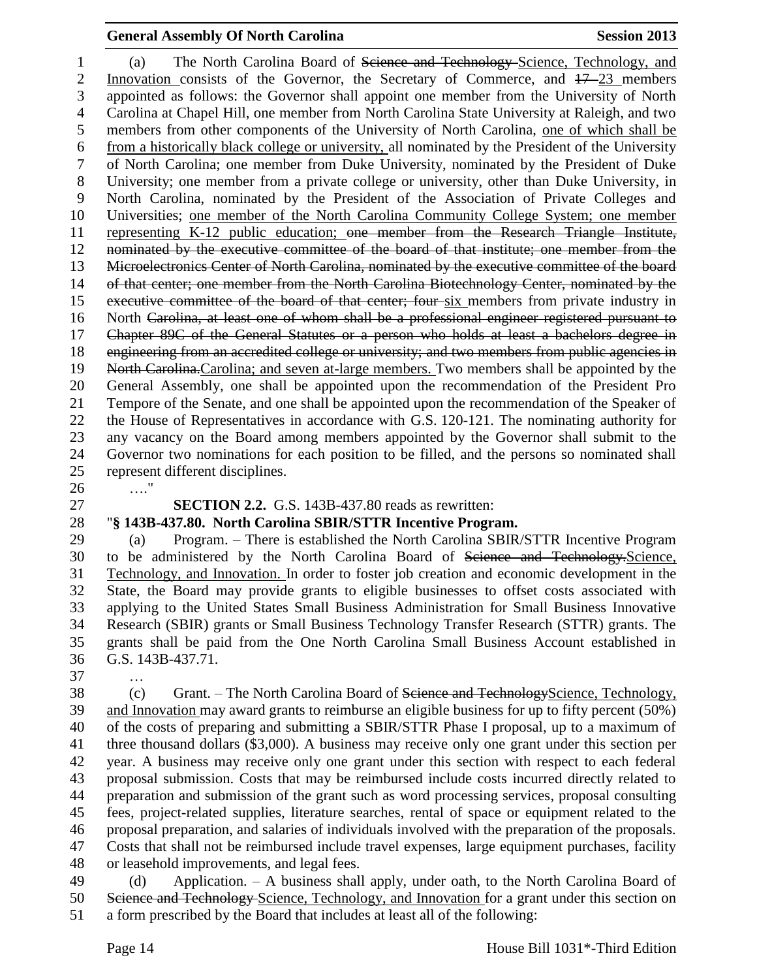#### **General Assembly Of North Carolina Session 2013**

 (a) The North Carolina Board of Science and Technology Science, Technology, and 2 Innovation consists of the Governor, the Secretary of Commerce, and  $17-23$  members appointed as follows: the Governor shall appoint one member from the University of North Carolina at Chapel Hill, one member from North Carolina State University at Raleigh, and two members from other components of the University of North Carolina, one of which shall be from a historically black college or university, all nominated by the President of the University of North Carolina; one member from Duke University, nominated by the President of Duke University; one member from a private college or university, other than Duke University, in North Carolina, nominated by the President of the Association of Private Colleges and Universities; one member of the North Carolina Community College System; one member representing K-12 public education; one member from the Research Triangle Institute, nominated by the executive committee of the board of that institute; one member from the 13 Microelectronics Center of North Carolina, nominated by the executive committee of the board 14 of that center; one member from the North Carolina Biotechnology Center, nominated by the 15 executive committee of the board of that center; four six members from private industry in North Carolina, at least one of whom shall be a professional engineer registered pursuant to Chapter 89C of the General Statutes or a person who holds at least a bachelors degree in engineering from an accredited college or university; and two members from public agencies in 19 North Carolina. Carolina; and seven at-large members. Two members shall be appointed by the General Assembly, one shall be appointed upon the recommendation of the President Pro Tempore of the Senate, and one shall be appointed upon the recommendation of the Speaker of the House of Representatives in accordance with G.S. 120-121. The nominating authority for any vacancy on the Board among members appointed by the Governor shall submit to the Governor two nominations for each position to be filled, and the persons so nominated shall represent different disciplines.

…."

# **SECTION 2.2.** G.S. 143B-437.80 reads as rewritten:

#### "**§ 143B-437.80. North Carolina SBIR/STTR Incentive Program.**

 (a) Program. – There is established the North Carolina SBIR/STTR Incentive Program to be administered by the North Carolina Board of Science and Technology.Science, Technology, and Innovation. In order to foster job creation and economic development in the State, the Board may provide grants to eligible businesses to offset costs associated with applying to the United States Small Business Administration for Small Business Innovative Research (SBIR) grants or Small Business Technology Transfer Research (STTR) grants. The grants shall be paid from the One North Carolina Small Business Account established in G.S. 143B-437.71.

…

38 (c) Grant. – The North Carolina Board of Seience and TechnologyScience, Technology, and Innovation may award grants to reimburse an eligible business for up to fifty percent (50%) of the costs of preparing and submitting a SBIR/STTR Phase I proposal, up to a maximum of three thousand dollars (\$3,000). A business may receive only one grant under this section per year. A business may receive only one grant under this section with respect to each federal proposal submission. Costs that may be reimbursed include costs incurred directly related to preparation and submission of the grant such as word processing services, proposal consulting fees, project-related supplies, literature searches, rental of space or equipment related to the proposal preparation, and salaries of individuals involved with the preparation of the proposals. Costs that shall not be reimbursed include travel expenses, large equipment purchases, facility or leasehold improvements, and legal fees.

 (d) Application. – A business shall apply, under oath, to the North Carolina Board of Science and Technology Science, Technology, and Innovation for a grant under this section on a form prescribed by the Board that includes at least all of the following: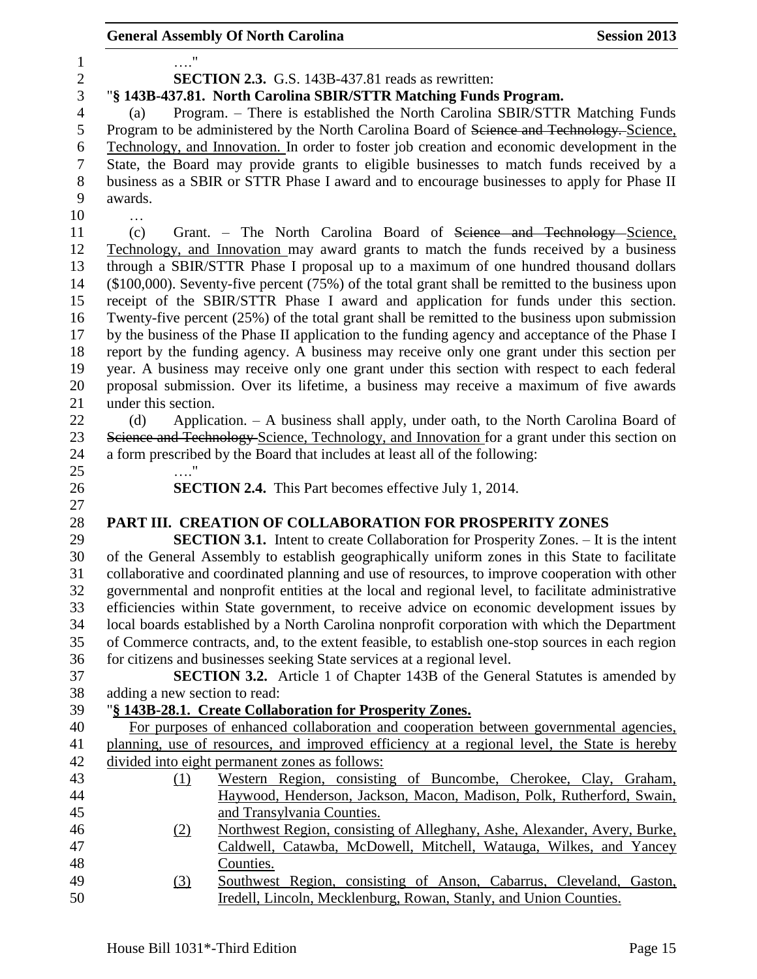|                | <b>General Assembly Of North Carolina</b>                                                                                                                                   | <b>Session 2013</b> |
|----------------|-----------------------------------------------------------------------------------------------------------------------------------------------------------------------------|---------------------|
| $\mathbf{1}$   |                                                                                                                                                                             |                     |
| $\overline{c}$ | <b>SECTION 2.3.</b> G.S. 143B-437.81 reads as rewritten:                                                                                                                    |                     |
| 3              | "§ 143B-437.81. North Carolina SBIR/STTR Matching Funds Program.                                                                                                            |                     |
| $\overline{4}$ | Program. - There is established the North Carolina SBIR/STTR Matching Funds<br>(a)                                                                                          |                     |
| 5              | Program to be administered by the North Carolina Board of Science and Technology. Science,                                                                                  |                     |
| 6              | Technology, and Innovation. In order to foster job creation and economic development in the                                                                                 |                     |
| 7              | State, the Board may provide grants to eligible businesses to match funds received by a                                                                                     |                     |
| $8\,$          | business as a SBIR or STTR Phase I award and to encourage businesses to apply for Phase II                                                                                  |                     |
| 9              | awards.                                                                                                                                                                     |                     |
| 10             |                                                                                                                                                                             |                     |
| 11             | (c)<br>Grant. – The North Carolina Board of <del>Science and Technology Science</del> ,                                                                                     |                     |
| 12             | Technology, and Innovation may award grants to match the funds received by a business                                                                                       |                     |
| 13             | through a SBIR/STTR Phase I proposal up to a maximum of one hundred thousand dollars                                                                                        |                     |
| 14             | $(\$100,000)$ . Seventy-five percent $(75%)$ of the total grant shall be remitted to the business upon                                                                      |                     |
| 15             | receipt of the SBIR/STTR Phase I award and application for funds under this section.                                                                                        |                     |
| 16             | Twenty-five percent (25%) of the total grant shall be remitted to the business upon submission                                                                              |                     |
| 17             | by the business of the Phase II application to the funding agency and acceptance of the Phase I                                                                             |                     |
| 18             | report by the funding agency. A business may receive only one grant under this section per                                                                                  |                     |
| 19             | year. A business may receive only one grant under this section with respect to each federal                                                                                 |                     |
| 20             | proposal submission. Over its lifetime, a business may receive a maximum of five awards                                                                                     |                     |
| 21             | under this section.                                                                                                                                                         |                     |
| 22             | Application. - A business shall apply, under oath, to the North Carolina Board of<br>(d)                                                                                    |                     |
| 23             | Science and Technology Science, Technology, and Innovation for a grant under this section on                                                                                |                     |
| 24             | a form prescribed by the Board that includes at least all of the following:                                                                                                 |                     |
| 25             |                                                                                                                                                                             |                     |
| 26             | <b>SECTION 2.4.</b> This Part becomes effective July 1, 2014.                                                                                                               |                     |
| 27             |                                                                                                                                                                             |                     |
| 28             | PART III. CREATION OF COLLABORATION FOR PROSPERITY ZONES                                                                                                                    |                     |
| 29             | <b>SECTION 3.1.</b> Intent to create Collaboration for Prosperity Zones. - It is the intent                                                                                 |                     |
| 30             | of the General Assembly to establish geographically uniform zones in this State to facilitate                                                                               |                     |
| 31             | collaborative and coordinated planning and use of resources, to improve cooperation with other                                                                              |                     |
| 32             | governmental and nonprofit entities at the local and regional level, to facilitate administrative                                                                           |                     |
| 33             | efficiencies within State government, to receive advice on economic development issues by                                                                                   |                     |
| 34<br>35       | local boards established by a North Carolina nonprofit corporation with which the Department                                                                                |                     |
| 36             | of Commerce contracts, and, to the extent feasible, to establish one-stop sources in each region<br>for citizens and businesses seeking State services at a regional level. |                     |
| 37             | <b>SECTION 3.2.</b> Article 1 of Chapter 143B of the General Statutes is amended by                                                                                         |                     |
| 38             | adding a new section to read:                                                                                                                                               |                     |
| 39             | "§ 143B-28.1. Create Collaboration for Prosperity Zones.                                                                                                                    |                     |
| 40             | For purposes of enhanced collaboration and cooperation between governmental agencies,                                                                                       |                     |
| 41             | planning, use of resources, and improved efficiency at a regional level, the State is hereby                                                                                |                     |
| 42             | divided into eight permanent zones as follows:                                                                                                                              |                     |
| 43             | Western Region, consisting of Buncombe, Cherokee, Clay, Graham,<br>(1)                                                                                                      |                     |
| 44             | Haywood, Henderson, Jackson, Macon, Madison, Polk, Rutherford, Swain,                                                                                                       |                     |
| 45             | and Transylvania Counties.                                                                                                                                                  |                     |
| 46             | Northwest Region, consisting of Alleghany, Ashe, Alexander, Avery, Burke,<br>(2)                                                                                            |                     |
| 47             | Caldwell, Catawba, McDowell, Mitchell, Watauga, Wilkes, and Yancey                                                                                                          |                     |
| 48             | Counties.                                                                                                                                                                   |                     |
| 49             | Southwest Region, consisting of Anson, Cabarrus, Cleveland, Gaston,<br>(3)                                                                                                  |                     |
| 50             | Iredell, Lincoln, Mecklenburg, Rowan, Stanly, and Union Counties.                                                                                                           |                     |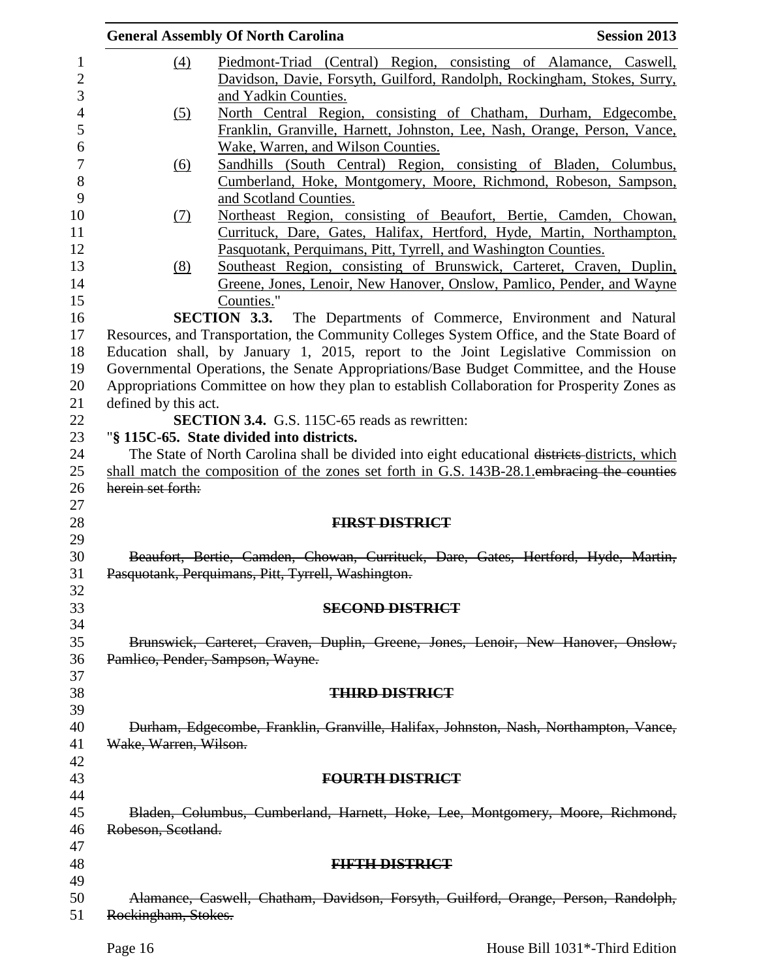|                  |                       | <b>General Assembly Of North Carolina</b>                                                                                                      | <b>Session 2013</b> |
|------------------|-----------------------|------------------------------------------------------------------------------------------------------------------------------------------------|---------------------|
| $\mathbf{1}$     | $\underline{(4)}$     | Piedmont-Triad (Central) Region, consisting of Alamance, Caswell,                                                                              |                     |
| $\overline{2}$   |                       | Davidson, Davie, Forsyth, Guilford, Randolph, Rockingham, Stokes, Surry,                                                                       |                     |
| 3                |                       | and Yadkin Counties.                                                                                                                           |                     |
| 4                | (5)                   | North Central Region, consisting of Chatham, Durham, Edgecombe,                                                                                |                     |
| 5                |                       | Franklin, Granville, Harnett, Johnston, Lee, Nash, Orange, Person, Vance,                                                                      |                     |
| 6                |                       | Wake, Warren, and Wilson Counties.                                                                                                             |                     |
| $\boldsymbol{7}$ | <u>(6)</u>            | Sandhills (South Central) Region, consisting of Bladen, Columbus,                                                                              |                     |
| 8                |                       | Cumberland, Hoke, Montgomery, Moore, Richmond, Robeson, Sampson,                                                                               |                     |
| 9                |                       | and Scotland Counties.                                                                                                                         |                     |
| 10               | (7)                   | Northeast Region, consisting of Beaufort, Bertie, Camden, Chowan,                                                                              |                     |
| 11               |                       | Currituck, Dare, Gates, Halifax, Hertford, Hyde, Martin, Northampton,                                                                          |                     |
| 12               |                       | Pasquotank, Perquimans, Pitt, Tyrrell, and Washington Counties.                                                                                |                     |
| 13               |                       |                                                                                                                                                |                     |
|                  | (8)                   | Southeast Region, consisting of Brunswick, Carteret, Craven, Duplin,<br>Greene, Jones, Lenoir, New Hanover, Onslow, Pamlico, Pender, and Wayne |                     |
| 14<br>15         |                       |                                                                                                                                                |                     |
|                  |                       | Counties."                                                                                                                                     |                     |
| 16               |                       | <b>SECTION 3.3.</b><br>The Departments of Commerce, Environment and Natural                                                                    |                     |
| 17               |                       | Resources, and Transportation, the Community Colleges System Office, and the State Board of                                                    |                     |
| 18               |                       | Education shall, by January 1, 2015, report to the Joint Legislative Commission on                                                             |                     |
| 19               |                       | Governmental Operations, the Senate Appropriations/Base Budget Committee, and the House                                                        |                     |
| 20               |                       | Appropriations Committee on how they plan to establish Collaboration for Prosperity Zones as                                                   |                     |
| 21               | defined by this act.  |                                                                                                                                                |                     |
| 22               |                       | <b>SECTION 3.4.</b> G.S. 115C-65 reads as rewritten:                                                                                           |                     |
| 23               |                       | "§ 115C-65. State divided into districts.                                                                                                      |                     |
| 24               |                       | The State of North Carolina shall be divided into eight educational districts districts, which                                                 |                     |
| 25               |                       | shall match the composition of the zones set forth in G.S. 143B-28.1 embracing the counties                                                    |                     |
| 26               | herein set forth:     |                                                                                                                                                |                     |
| 27<br>28         |                       | <b>FIRST DISTRICT</b>                                                                                                                          |                     |
| 29               |                       |                                                                                                                                                |                     |
| 30               |                       | Beaufort, Bertie, Camden, Chowan, Currituck, Dare, Gates, Hertford, Hyde, Martin,                                                              |                     |
|                  |                       | Pasquotank, Perquimans, Pitt, Tyrrell, Washington.                                                                                             |                     |
|                  |                       |                                                                                                                                                |                     |
|                  |                       | <b>SECOND DISTRICT</b>                                                                                                                         |                     |
|                  |                       |                                                                                                                                                |                     |
| 34               |                       | Brunswick, Carteret, Craven, Duplin, Greene, Jones, Lenoir, New Hanover, Onslow,                                                               |                     |
| 35<br>36         |                       | Pamlico, Pender, Sampson, Wayne.                                                                                                               |                     |
|                  |                       |                                                                                                                                                |                     |
|                  |                       | <b>THIRD DISTRICT</b>                                                                                                                          |                     |
|                  |                       |                                                                                                                                                |                     |
| 39<br>40         |                       |                                                                                                                                                |                     |
|                  |                       | Durham, Edgecombe, Franklin, Granville, Halifax, Johnston, Nash, Northampton, Vance,                                                           |                     |
| 42               | Wake, Warren, Wilson. |                                                                                                                                                |                     |
| 43               |                       |                                                                                                                                                |                     |
|                  |                       | <b>FOURTH DISTRICT</b>                                                                                                                         |                     |
|                  |                       |                                                                                                                                                |                     |
|                  |                       | Bladen, Columbus, Cumberland, Harnett, Hoke, Lee, Montgomery, Moore, Richmond,                                                                 |                     |
| 46<br>47         | Robeson, Scotland.    |                                                                                                                                                |                     |
| 48               |                       |                                                                                                                                                |                     |
|                  |                       | <b>EIFFIEDISTRICT</b>                                                                                                                          |                     |
|                  |                       |                                                                                                                                                |                     |
|                  |                       | Alamance, Caswell, Chatham, Davidson, Forsyth, Guilford, Orange, Person, Randolph,                                                             |                     |
| 51               | Rockingham, Stokes.   |                                                                                                                                                |                     |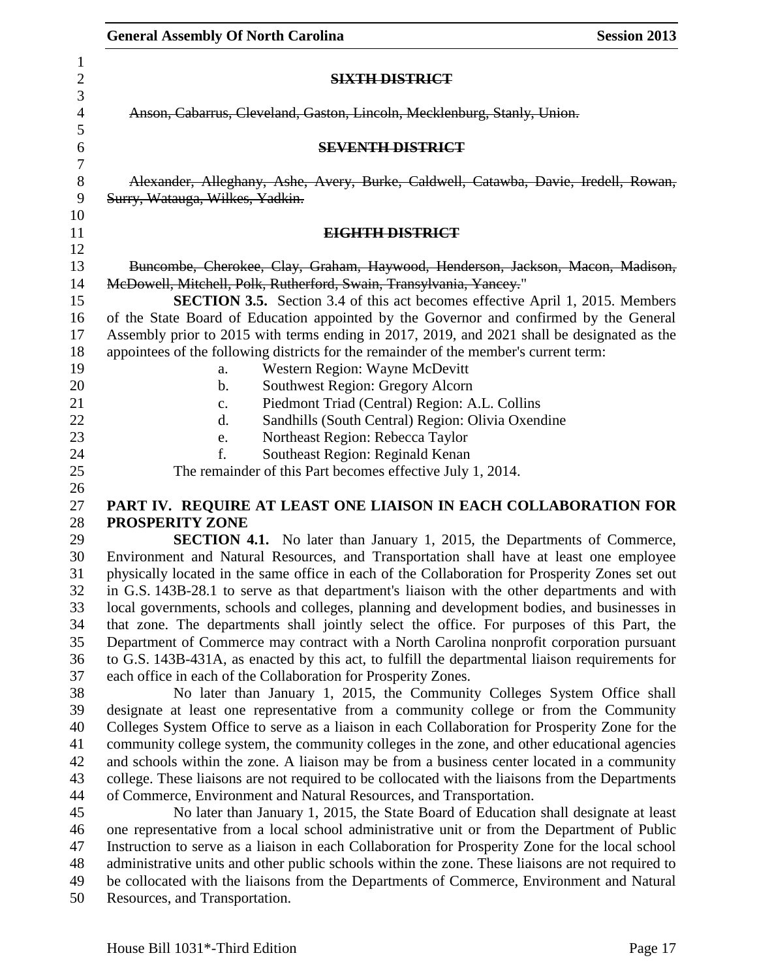| <b>General Assembly Of North Carolina</b><br><b>Session 2013</b>                                                                                                                                                                                                                                                                                                                                                                                                                                                                                                                                                                                                                                                                                                                                                                                                                                                                                                                                                                                                                                |
|-------------------------------------------------------------------------------------------------------------------------------------------------------------------------------------------------------------------------------------------------------------------------------------------------------------------------------------------------------------------------------------------------------------------------------------------------------------------------------------------------------------------------------------------------------------------------------------------------------------------------------------------------------------------------------------------------------------------------------------------------------------------------------------------------------------------------------------------------------------------------------------------------------------------------------------------------------------------------------------------------------------------------------------------------------------------------------------------------|
| <b>SIXTH DISTRICT</b>                                                                                                                                                                                                                                                                                                                                                                                                                                                                                                                                                                                                                                                                                                                                                                                                                                                                                                                                                                                                                                                                           |
| Anson, Cabarrus, Cleveland, Gaston, Lincoln, Mecklenburg, Stanly, Union.                                                                                                                                                                                                                                                                                                                                                                                                                                                                                                                                                                                                                                                                                                                                                                                                                                                                                                                                                                                                                        |
| <b>SEVENTH DISTRICT</b>                                                                                                                                                                                                                                                                                                                                                                                                                                                                                                                                                                                                                                                                                                                                                                                                                                                                                                                                                                                                                                                                         |
| Alexander, Alleghany, Ashe, Avery, Burke, Caldwell, Catawba, Davie, Iredell, Rowan,<br>Surry, Watauga, Wilkes, Yadkin.                                                                                                                                                                                                                                                                                                                                                                                                                                                                                                                                                                                                                                                                                                                                                                                                                                                                                                                                                                          |
| EIGHTH DISTRICT                                                                                                                                                                                                                                                                                                                                                                                                                                                                                                                                                                                                                                                                                                                                                                                                                                                                                                                                                                                                                                                                                 |
| Buncombe, Cherokee, Clay, Graham, Haywood, Henderson, Jackson, Macon, Madison,<br>McDowell, Mitchell, Polk, Rutherford, Swain, Transylvania, Yancey."<br><b>SECTION 3.5.</b> Section 3.4 of this act becomes effective April 1, 2015. Members<br>of the State Board of Education appointed by the Governor and confirmed by the General<br>Assembly prior to 2015 with terms ending in 2017, 2019, and 2021 shall be designated as the<br>appointees of the following districts for the remainder of the member's current term:<br>Western Region: Wayne McDevitt<br>a.<br>Southwest Region: Gregory Alcorn<br>b.<br>Piedmont Triad (Central) Region: A.L. Collins<br>$\mathbf{c}$ .<br>Sandhills (South Central) Region: Olivia Oxendine<br>d.<br>Northeast Region: Rebecca Taylor<br>e.<br>Southeast Region: Reginald Kenan<br>f.<br>The remainder of this Part becomes effective July 1, 2014.                                                                                                                                                                                               |
| PART IV. REQUIRE AT LEAST ONE LIAISON IN EACH COLLABORATION FOR                                                                                                                                                                                                                                                                                                                                                                                                                                                                                                                                                                                                                                                                                                                                                                                                                                                                                                                                                                                                                                 |
| PROSPERITY ZONE<br><b>SECTION 4.1.</b> No later than January 1, 2015, the Departments of Commerce,<br>Environment and Natural Resources, and Transportation shall have at least one employee<br>physically located in the same office in each of the Collaboration for Prosperity Zones set out<br>in G.S. 143B-28.1 to serve as that department's liaison with the other departments and with<br>local governments, schools and colleges, planning and development bodies, and businesses in<br>that zone. The departments shall jointly select the office. For purposes of this Part, the<br>Department of Commerce may contract with a North Carolina nonprofit corporation pursuant<br>to G.S. 143B-431A, as enacted by this act, to fulfill the departmental liaison requirements for<br>each office in each of the Collaboration for Prosperity Zones.<br>No later than January 1, 2015, the Community Colleges System Office shall                                                                                                                                                       |
| designate at least one representative from a community college or from the Community<br>Colleges System Office to serve as a liaison in each Collaboration for Prosperity Zone for the<br>community college system, the community colleges in the zone, and other educational agencies<br>and schools within the zone. A liaison may be from a business center located in a community<br>college. These liaisons are not required to be collocated with the liaisons from the Departments<br>of Commerce, Environment and Natural Resources, and Transportation.<br>No later than January 1, 2015, the State Board of Education shall designate at least<br>one representative from a local school administrative unit or from the Department of Public<br>Instruction to serve as a liaison in each Collaboration for Prosperity Zone for the local school<br>administrative units and other public schools within the zone. These liaisons are not required to<br>be collocated with the liaisons from the Departments of Commerce, Environment and Natural<br>Resources, and Transportation. |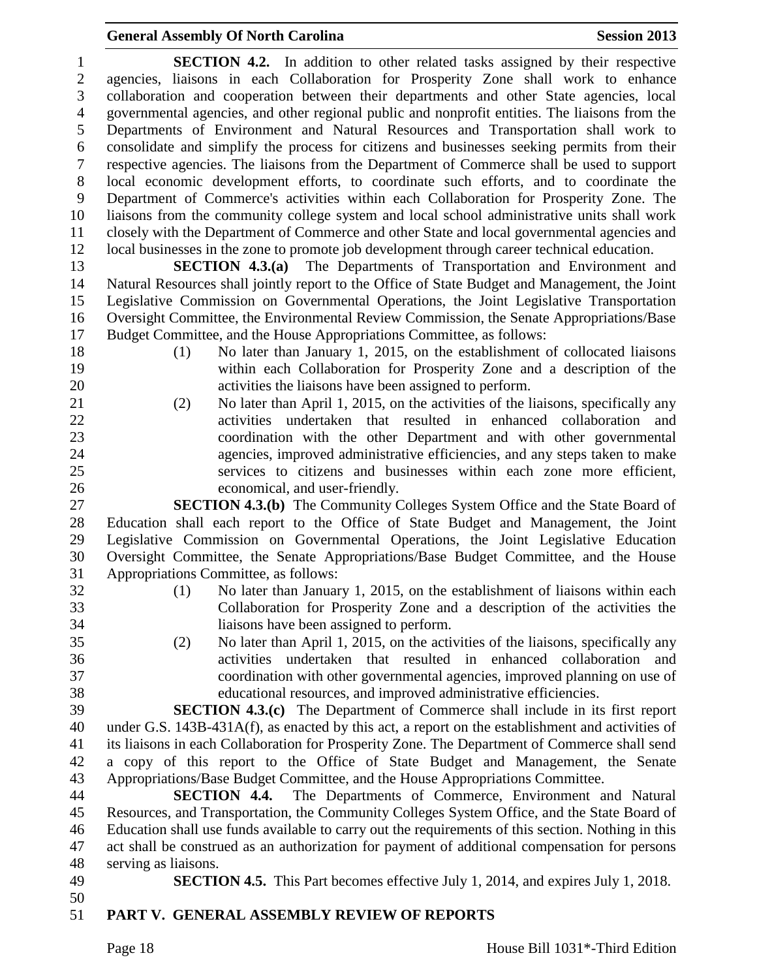# **General Assembly Of North Carolina Session 2013**

| 1            | <b>SECTION 4.2.</b> In addition to other related tasks assigned by their respective                                                                                                                 |
|--------------|-----------------------------------------------------------------------------------------------------------------------------------------------------------------------------------------------------|
| $\mathbf{2}$ | agencies, liaisons in each Collaboration for Prosperity Zone shall work to enhance                                                                                                                  |
| 3            | collaboration and cooperation between their departments and other State agencies, local                                                                                                             |
| 4            | governmental agencies, and other regional public and nonprofit entities. The liaisons from the                                                                                                      |
| 5            | Departments of Environment and Natural Resources and Transportation shall work to                                                                                                                   |
| 6            | consolidate and simplify the process for citizens and businesses seeking permits from their                                                                                                         |
| $\tau$       | respective agencies. The liaisons from the Department of Commerce shall be used to support                                                                                                          |
| $8\,$        | local economic development efforts, to coordinate such efforts, and to coordinate the                                                                                                               |
| 9            | Department of Commerce's activities within each Collaboration for Prosperity Zone. The                                                                                                              |
| 10           | liaisons from the community college system and local school administrative units shall work                                                                                                         |
| 11           | closely with the Department of Commerce and other State and local governmental agencies and                                                                                                         |
| 12           | local businesses in the zone to promote job development through career technical education.                                                                                                         |
| 13           | <b>SECTION 4.3.(a)</b> The Departments of Transportation and Environment and                                                                                                                        |
| 14           | Natural Resources shall jointly report to the Office of State Budget and Management, the Joint                                                                                                      |
| 15           | Legislative Commission on Governmental Operations, the Joint Legislative Transportation                                                                                                             |
| 16           | Oversight Committee, the Environmental Review Commission, the Senate Appropriations/Base                                                                                                            |
| 17           | Budget Committee, and the House Appropriations Committee, as follows:                                                                                                                               |
| 18           | No later than January 1, 2015, on the establishment of collocated liaisons<br>(1)                                                                                                                   |
| 19           | within each Collaboration for Prosperity Zone and a description of the                                                                                                                              |
| 20           | activities the liaisons have been assigned to perform.                                                                                                                                              |
| 21           | No later than April 1, 2015, on the activities of the liaisons, specifically any<br>(2)                                                                                                             |
| 22           | activities undertaken that resulted in enhanced collaboration and                                                                                                                                   |
| 23           | coordination with the other Department and with other governmental                                                                                                                                  |
| 24           | agencies, improved administrative efficiencies, and any steps taken to make                                                                                                                         |
| 25           | services to citizens and businesses within each zone more efficient,                                                                                                                                |
| 26           | economical, and user-friendly.                                                                                                                                                                      |
| 27           | <b>SECTION 4.3.(b)</b> The Community Colleges System Office and the State Board of                                                                                                                  |
| 28           | Education shall each report to the Office of State Budget and Management, the Joint                                                                                                                 |
| 29           | Legislative Commission on Governmental Operations, the Joint Legislative Education                                                                                                                  |
| 30           | Oversight Committee, the Senate Appropriations/Base Budget Committee, and the House                                                                                                                 |
| 31           | Appropriations Committee, as follows:                                                                                                                                                               |
| 32           | No later than January 1, 2015, on the establishment of liaisons within each<br>(1)                                                                                                                  |
| 33           | Collaboration for Prosperity Zone and a description of the activities the                                                                                                                           |
| 34           | liaisons have been assigned to perform.                                                                                                                                                             |
| 35           | No later than April 1, 2015, on the activities of the liaisons, specifically any<br>(2)                                                                                                             |
| 36           | activities undertaken that resulted in enhanced collaboration<br>and                                                                                                                                |
| 37           | coordination with other governmental agencies, improved planning on use of                                                                                                                          |
| 38           | educational resources, and improved administrative efficiencies.                                                                                                                                    |
| 39           | <b>SECTION 4.3.(c)</b> The Department of Commerce shall include in its first report                                                                                                                 |
| 40           | under G.S. 143B-431A(f), as enacted by this act, a report on the establishment and activities of                                                                                                    |
| 41           | its liaisons in each Collaboration for Prosperity Zone. The Department of Commerce shall send                                                                                                       |
| 42           | a copy of this report to the Office of State Budget and Management, the Senate                                                                                                                      |
| 43           | Appropriations/Base Budget Committee, and the House Appropriations Committee.                                                                                                                       |
| 44<br>45     | The Departments of Commerce, Environment and Natural<br>SECTION 4.4.                                                                                                                                |
|              | Resources, and Transportation, the Community Colleges System Office, and the State Board of                                                                                                         |
| 46<br>47     | Education shall use funds available to carry out the requirements of this section. Nothing in this<br>act shall be construed as an authorization for payment of additional compensation for persons |
| 48           | serving as liaisons.                                                                                                                                                                                |
| 49           | <b>SECTION 4.5.</b> This Part becomes effective July 1, 2014, and expires July 1, 2018.                                                                                                             |
| 50           |                                                                                                                                                                                                     |
|              |                                                                                                                                                                                                     |

# **PART V. GENERAL ASSEMBLY REVIEW OF REPORTS**